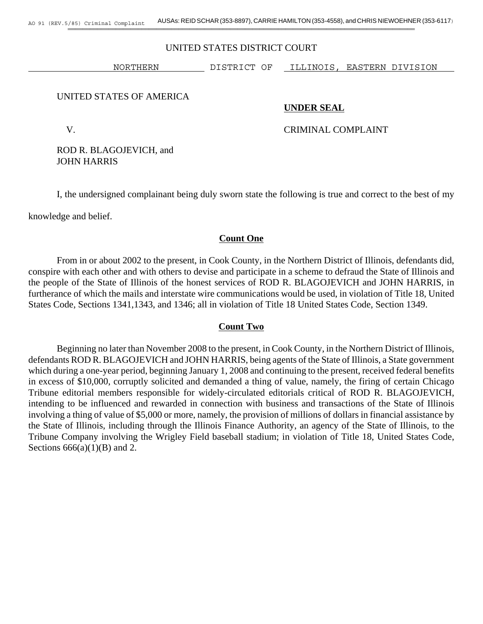#### UNITED STATES DISTRICT COURT

NORTHERN DISTRICT OF ILLINOIS, EASTERN DIVISION

#### UNITED STATES OF AMERICA

#### **UNDER SEAL**

### V. CRIMINAL COMPLAINT

ROD R. BLAGOJEVICH, and JOHN HARRIS

I, the undersigned complainant being duly sworn state the following is true and correct to the best of my

knowledge and belief.

## **Count One**

From in or about 2002 to the present, in Cook County, in the Northern District of Illinois, defendants did, conspire with each other and with others to devise and participate in a scheme to defraud the State of Illinois and the people of the State of Illinois of the honest services of ROD R. BLAGOJEVICH and JOHN HARRIS, in furtherance of which the mails and interstate wire communications would be used, in violation of Title 18, United States Code, Sections 1341,1343, and 1346; all in violation of Title 18 United States Code, Section 1349.

#### **Count Two**

Beginning no later than November 2008 to the present, in Cook County, in the Northern District of Illinois, defendants ROD R. BLAGOJEVICH and JOHN HARRIS, being agents of the State of Illinois, a State government which during a one-year period, beginning January 1, 2008 and continuing to the present, received federal benefits in excess of \$10,000, corruptly solicited and demanded a thing of value, namely, the firing of certain Chicago Tribune editorial members responsible for widely-circulated editorials critical of ROD R. BLAGOJEVICH, intending to be influenced and rewarded in connection with business and transactions of the State of Illinois involving a thing of value of \$5,000 or more, namely, the provision of millions of dollars in financial assistance by the State of Illinois, including through the Illinois Finance Authority, an agency of the State of Illinois, to the Tribune Company involving the Wrigley Field baseball stadium; in violation of Title 18, United States Code, Sections  $666(a)(1)(B)$  and 2.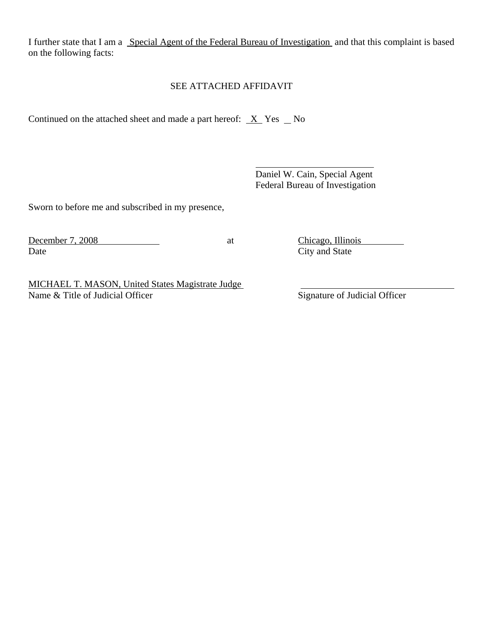I further state that I am a Special Agent of the Federal Bureau of Investigation and that this complaint is based on the following facts:

l

# SEE ATTACHED AFFIDAVIT

Continued on the attached sheet and made a part hereof:  $X$  Yes  $N$ o

 Daniel W. Cain, Special Agent Federal Bureau of Investigation

Sworn to before me and subscribed in my presence,

Date City and State

December 7, 2008 at Chicago, Illinois

MICHAEL T. MASON, United States Magistrate Judge Name & Title of Judicial Officer Signature of Judicial Officer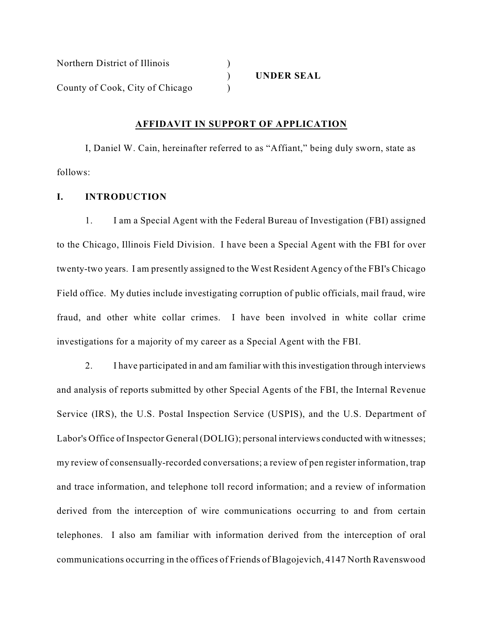| Northern District of Illinois   |                   |
|---------------------------------|-------------------|
|                                 | <b>UNDER SEAL</b> |
| County of Cook, City of Chicago |                   |

#### **AFFIDAVIT IN SUPPORT OF APPLICATION**

I, Daniel W. Cain, hereinafter referred to as "Affiant," being duly sworn, state as follows:

## **I. INTRODUCTION**

1. I am a Special Agent with the Federal Bureau of Investigation (FBI) assigned to the Chicago, Illinois Field Division. I have been a Special Agent with the FBI for over twenty-two years. I am presently assigned to the West Resident Agency of the FBI's Chicago Field office. My duties include investigating corruption of public officials, mail fraud, wire fraud, and other white collar crimes. I have been involved in white collar crime investigations for a majority of my career as a Special Agent with the FBI.

2. I have participated in and am familiar with this investigation through interviews and analysis of reports submitted by other Special Agents of the FBI, the Internal Revenue Service (IRS), the U.S. Postal Inspection Service (USPIS), and the U.S. Department of Labor's Office of Inspector General (DOLIG); personal interviews conducted with witnesses; my review of consensually-recorded conversations; a review of pen register information, trap and trace information, and telephone toll record information; and a review of information derived from the interception of wire communications occurring to and from certain telephones. I also am familiar with information derived from the interception of oral communications occurring in the offices of Friends of Blagojevich, 4147 North Ravenswood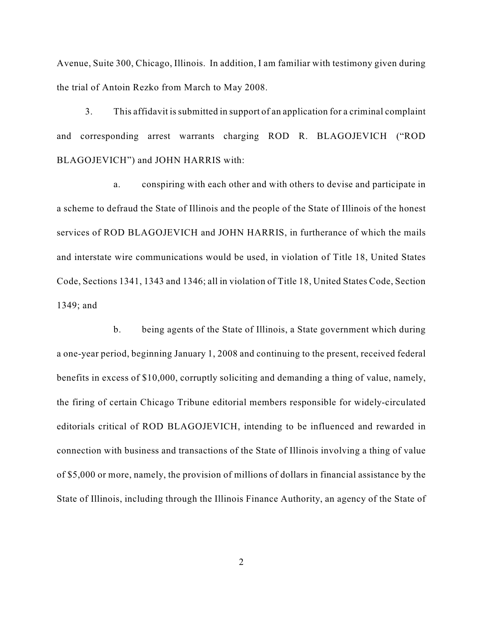Avenue, Suite 300, Chicago, Illinois. In addition, I am familiar with testimony given during the trial of Antoin Rezko from March to May 2008.

3. This affidavit issubmitted in support of an application for a criminal complaint and corresponding arrest warrants charging ROD R. BLAGOJEVICH ("ROD BLAGOJEVICH") and JOHN HARRIS with:

a. conspiring with each other and with others to devise and participate in a scheme to defraud the State of Illinois and the people of the State of Illinois of the honest services of ROD BLAGOJEVICH and JOHN HARRIS, in furtherance of which the mails and interstate wire communications would be used, in violation of Title 18, United States Code, Sections 1341, 1343 and 1346; all in violation of Title 18, United States Code, Section 1349; and

b. being agents of the State of Illinois, a State government which during a one-year period, beginning January 1, 2008 and continuing to the present, received federal benefits in excess of \$10,000, corruptly soliciting and demanding a thing of value, namely, the firing of certain Chicago Tribune editorial members responsible for widely-circulated editorials critical of ROD BLAGOJEVICH, intending to be influenced and rewarded in connection with business and transactions of the State of Illinois involving a thing of value of \$5,000 or more, namely, the provision of millions of dollars in financial assistance by the State of Illinois, including through the Illinois Finance Authority, an agency of the State of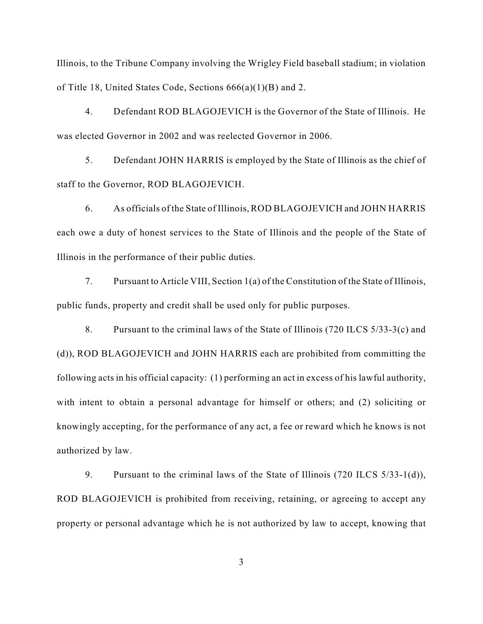Illinois, to the Tribune Company involving the Wrigley Field baseball stadium; in violation of Title 18, United States Code, Sections 666(a)(1)(B) and 2.

4. Defendant ROD BLAGOJEVICH is the Governor of the State of Illinois. He was elected Governor in 2002 and was reelected Governor in 2006.

5. Defendant JOHN HARRIS is employed by the State of Illinois as the chief of staff to the Governor, ROD BLAGOJEVICH.

6. As officials of the State of Illinois, ROD BLAGOJEVICH and JOHN HARRIS each owe a duty of honest services to the State of Illinois and the people of the State of Illinois in the performance of their public duties.

7. Pursuant to Article VIII, Section 1(a) of the Constitution of the State of Illinois, public funds, property and credit shall be used only for public purposes.

8. Pursuant to the criminal laws of the State of Illinois (720 ILCS 5/33-3(c) and (d)), ROD BLAGOJEVICH and JOHN HARRIS each are prohibited from committing the following acts in his official capacity: (1) performing an act in excess of his lawful authority, with intent to obtain a personal advantage for himself or others; and (2) soliciting or knowingly accepting, for the performance of any act, a fee or reward which he knows is not authorized by law.

9. Pursuant to the criminal laws of the State of Illinois (720 ILCS 5/33-1(d)), ROD BLAGOJEVICH is prohibited from receiving, retaining, or agreeing to accept any property or personal advantage which he is not authorized by law to accept, knowing that

3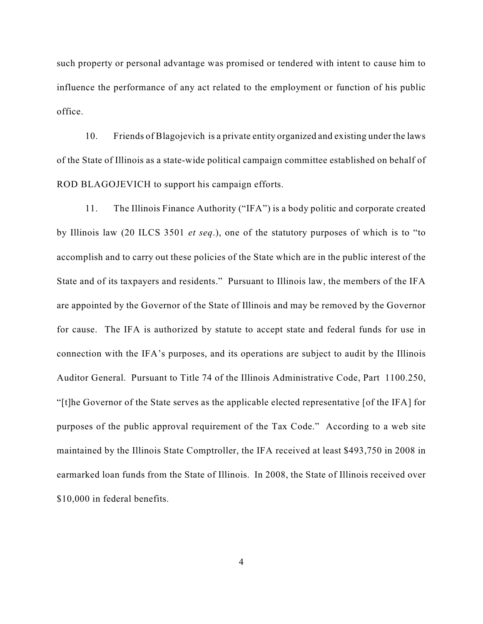such property or personal advantage was promised or tendered with intent to cause him to influence the performance of any act related to the employment or function of his public office.

10. Friends of Blagojevich is a private entity organized and existing under the laws of the State of Illinois as a state-wide political campaign committee established on behalf of ROD BLAGOJEVICH to support his campaign efforts.

11. The Illinois Finance Authority ("IFA") is a body politic and corporate created by Illinois law (20 ILCS 3501 *et seq*.), one of the statutory purposes of which is to "to accomplish and to carry out these policies of the State which are in the public interest of the State and of its taxpayers and residents." Pursuant to Illinois law, the members of the IFA are appointed by the Governor of the State of Illinois and may be removed by the Governor for cause. The IFA is authorized by statute to accept state and federal funds for use in connection with the IFA's purposes, and its operations are subject to audit by the Illinois Auditor General. Pursuant to Title 74 of the Illinois Administrative Code, Part 1100.250, "[t]he Governor of the State serves as the applicable elected representative [of the IFA] for purposes of the public approval requirement of the Tax Code." According to a web site maintained by the Illinois State Comptroller, the IFA received at least \$493,750 in 2008 in earmarked loan funds from the State of Illinois. In 2008, the State of Illinois received over \$10,000 in federal benefits.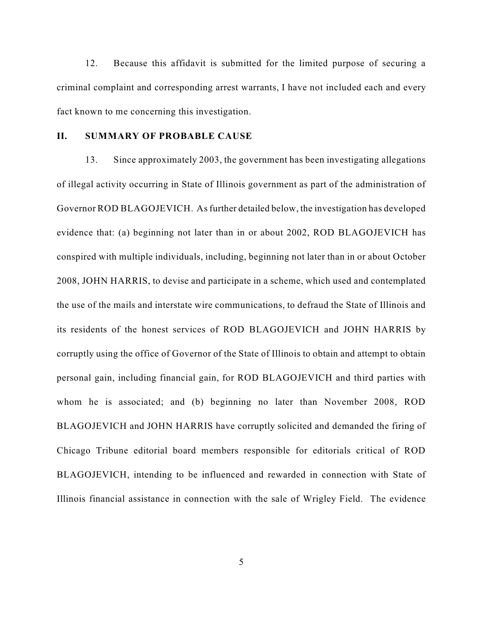12. Because this affidavit is submitted for the limited purpose of securing a criminal complaint and corresponding arrest warrants, I have not included each and every fact known to me concerning this investigation.

### **II. SUMMARY OF PROBABLE CAUSE**

13. Since approximately 2003, the government has been investigating allegations of illegal activity occurring in State of Illinois government as part of the administration of Governor ROD BLAGOJEVICH. As further detailed below, the investigation has developed evidence that: (a) beginning not later than in or about 2002, ROD BLAGOJEVICH has conspired with multiple individuals, including, beginning not later than in or about October 2008, JOHN HARRIS, to devise and participate in a scheme, which used and contemplated the use of the mails and interstate wire communications, to defraud the State of Illinois and its residents of the honest services of ROD BLAGOJEVICH and JOHN HARRIS by corruptly using the office of Governor of the State of Illinois to obtain and attempt to obtain personal gain, including financial gain, for ROD BLAGOJEVICH and third parties with whom he is associated; and (b) beginning no later than November 2008, ROD BLAGOJEVICH and JOHN HARRIS have corruptly solicited and demanded the firing of Chicago Tribune editorial board members responsible for editorials critical of ROD BLAGOJEVICH, intending to be influenced and rewarded in connection with State of Illinois financial assistance in connection with the sale of Wrigley Field. The evidence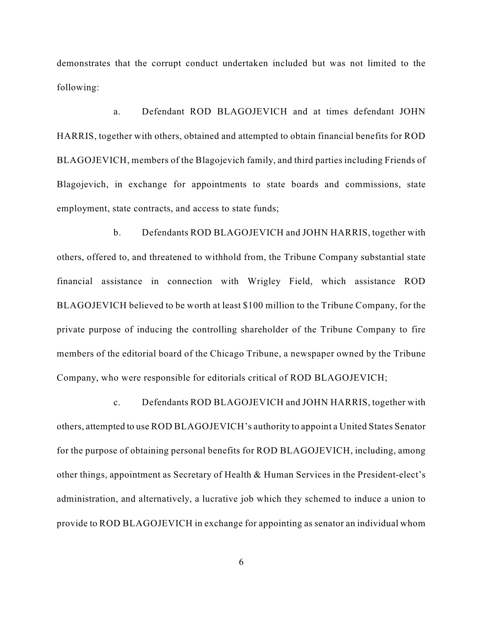demonstrates that the corrupt conduct undertaken included but was not limited to the following:

a. Defendant ROD BLAGOJEVICH and at times defendant JOHN HARRIS, together with others, obtained and attempted to obtain financial benefits for ROD BLAGOJEVICH, members of the Blagojevich family, and third parties including Friends of Blagojevich, in exchange for appointments to state boards and commissions, state employment, state contracts, and access to state funds;

b. Defendants ROD BLAGOJEVICH and JOHN HARRIS, together with others, offered to, and threatened to withhold from, the Tribune Company substantial state financial assistance in connection with Wrigley Field, which assistance ROD BLAGOJEVICH believed to be worth at least \$100 million to the Tribune Company, for the private purpose of inducing the controlling shareholder of the Tribune Company to fire members of the editorial board of the Chicago Tribune, a newspaper owned by the Tribune Company, who were responsible for editorials critical of ROD BLAGOJEVICH;

c. Defendants ROD BLAGOJEVICH and JOHN HARRIS, together with others, attempted to use ROD BLAGOJEVICH's authority to appoint a United States Senator for the purpose of obtaining personal benefits for ROD BLAGOJEVICH, including, among other things, appointment as Secretary of Health & Human Services in the President-elect's administration, and alternatively, a lucrative job which they schemed to induce a union to provide to ROD BLAGOJEVICH in exchange for appointing as senator an individual whom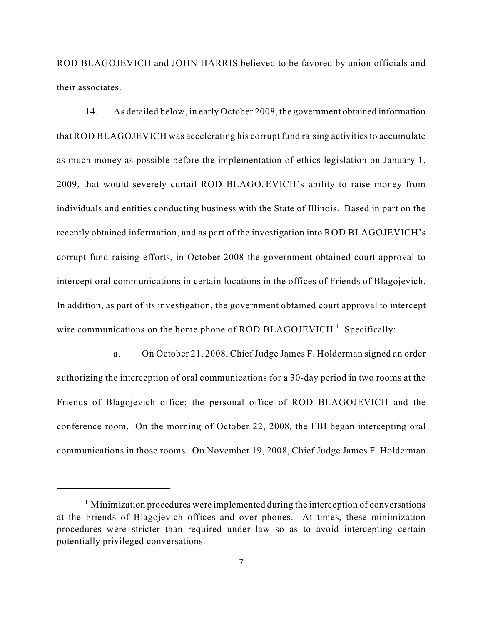ROD BLAGOJEVICH and JOHN HARRIS believed to be favored by union officials and their associates.

14. As detailed below, in early October 2008, the government obtained information that ROD BLAGOJEVICH was accelerating his corrupt fund raising activities to accumulate as much money as possible before the implementation of ethics legislation on January 1, 2009, that would severely curtail ROD BLAGOJEVICH's ability to raise money from individuals and entities conducting business with the State of Illinois. Based in part on the recently obtained information, and as part of the investigation into ROD BLAGOJEVICH's corrupt fund raising efforts, in October 2008 the government obtained court approval to intercept oral communications in certain locations in the offices of Friends of Blagojevich. In addition, as part of its investigation, the government obtained court approval to intercept wire communications on the home phone of ROD BLAGOJEVICH.<sup>1</sup> Specifically:

a. On October 21, 2008, Chief Judge James F. Holderman signed an order authorizing the interception of oral communications for a 30-day period in two rooms at the Friends of Blagojevich office: the personal office of ROD BLAGOJEVICH and the conference room. On the morning of October 22, 2008, the FBI began intercepting oral communications in those rooms. On November 19, 2008, Chief Judge James F. Holderman

 $\frac{1}{1}$  Minimization procedures were implemented during the interception of conversations at the Friends of Blagojevich offices and over phones. At times, these minimization procedures were stricter than required under law so as to avoid intercepting certain potentially privileged conversations.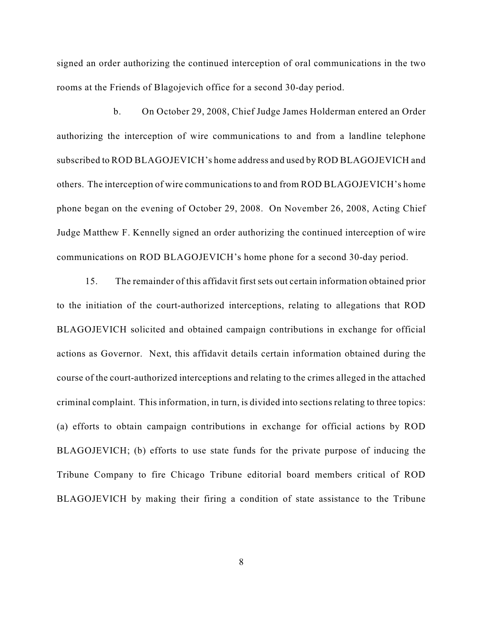signed an order authorizing the continued interception of oral communications in the two rooms at the Friends of Blagojevich office for a second 30-day period.

b. On October 29, 2008, Chief Judge James Holderman entered an Order authorizing the interception of wire communications to and from a landline telephone subscribed to ROD BLAGOJEVICH's home address and used by ROD BLAGOJEVICH and others. The interception of wire communications to and from ROD BLAGOJEVICH's home phone began on the evening of October 29, 2008. On November 26, 2008, Acting Chief Judge Matthew F. Kennelly signed an order authorizing the continued interception of wire communications on ROD BLAGOJEVICH's home phone for a second 30-day period.

15. The remainder of this affidavit first sets out certain information obtained prior to the initiation of the court-authorized interceptions, relating to allegations that ROD BLAGOJEVICH solicited and obtained campaign contributions in exchange for official actions as Governor. Next, this affidavit details certain information obtained during the course of the court-authorized interceptions and relating to the crimes alleged in the attached criminal complaint. Thisinformation, in turn, is divided into sections relating to three topics: (a) efforts to obtain campaign contributions in exchange for official actions by ROD BLAGOJEVICH; (b) efforts to use state funds for the private purpose of inducing the Tribune Company to fire Chicago Tribune editorial board members critical of ROD BLAGOJEVICH by making their firing a condition of state assistance to the Tribune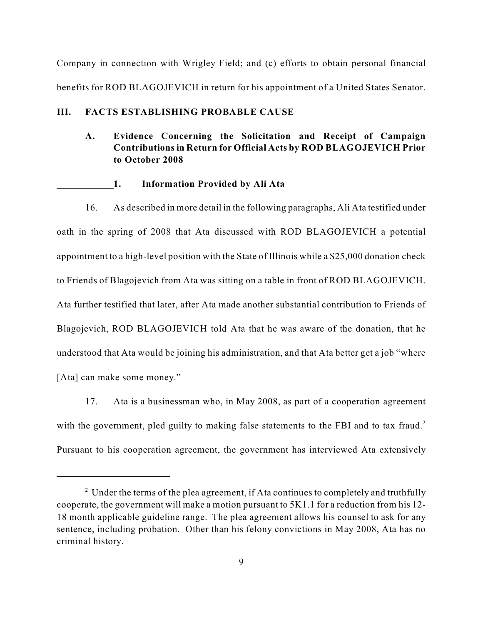Company in connection with Wrigley Field; and (c) efforts to obtain personal financial benefits for ROD BLAGOJEVICH in return for his appointment of a United States Senator.

### **III. FACTS ESTABLISHING PROBABLE CAUSE**

# **A. Evidence Concerning the Solicitation and Receipt of Campaign Contributions in Return for Official Acts by ROD BLAGOJEVICH Prior to October 2008**

#### **1. Information Provided by Ali Ata**

16. As described in more detail in the following paragraphs, Ali Ata testified under oath in the spring of 2008 that Ata discussed with ROD BLAGOJEVICH a potential appointment to a high-level position with the State of Illinois while a \$25,000 donation check to Friends of Blagojevich from Ata was sitting on a table in front of ROD BLAGOJEVICH. Ata further testified that later, after Ata made another substantial contribution to Friends of Blagojevich, ROD BLAGOJEVICH told Ata that he was aware of the donation, that he understood that Ata would be joining his administration, and that Ata better get a job "where [Ata] can make some money."

17. Ata is a businessman who, in May 2008, as part of a cooperation agreement with the government, pled guilty to making false statements to the FBI and to tax fraud.<sup>2</sup> Pursuant to his cooperation agreement, the government has interviewed Ata extensively

 $2$  Under the terms of the plea agreement, if Ata continues to completely and truthfully cooperate, the government will make a motion pursuant to 5K1.1 for a reduction from his 12- 18 month applicable guideline range. The plea agreement allows his counsel to ask for any sentence, including probation. Other than his felony convictions in May 2008, Ata has no criminal history.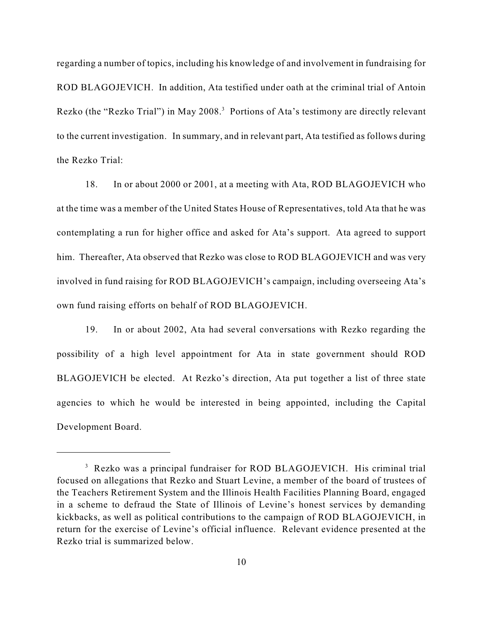regarding a number of topics, including his knowledge of and involvement in fundraising for ROD BLAGOJEVICH. In addition, Ata testified under oath at the criminal trial of Antoin Rezko (the "Rezko Trial") in May 2008.<sup>3</sup> Portions of Ata's testimony are directly relevant to the current investigation. In summary, and in relevant part, Ata testified as follows during the Rezko Trial:

18. In or about 2000 or 2001, at a meeting with Ata, ROD BLAGOJEVICH who at the time was a member of the United States House of Representatives, told Ata that he was contemplating a run for higher office and asked for Ata's support. Ata agreed to support him. Thereafter, Ata observed that Rezko was close to ROD BLAGOJEVICH and was very involved in fund raising for ROD BLAGOJEVICH's campaign, including overseeing Ata's own fund raising efforts on behalf of ROD BLAGOJEVICH.

19. In or about 2002, Ata had several conversations with Rezko regarding the possibility of a high level appointment for Ata in state government should ROD BLAGOJEVICH be elected. At Rezko's direction, Ata put together a list of three state agencies to which he would be interested in being appointed, including the Capital Development Board.

<sup>&</sup>lt;sup>3</sup> Rezko was a principal fundraiser for ROD BLAGOJEVICH. His criminal trial focused on allegations that Rezko and Stuart Levine, a member of the board of trustees of the Teachers Retirement System and the Illinois Health Facilities Planning Board, engaged in a scheme to defraud the State of Illinois of Levine's honest services by demanding kickbacks, as well as political contributions to the campaign of ROD BLAGOJEVICH, in return for the exercise of Levine's official influence. Relevant evidence presented at the Rezko trial is summarized below.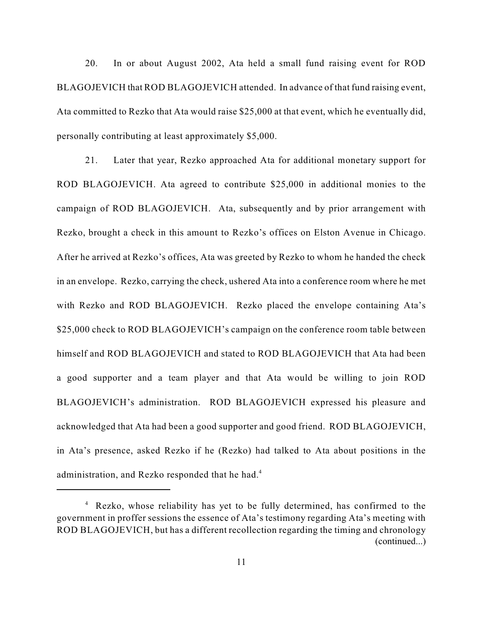20. In or about August 2002, Ata held a small fund raising event for ROD BLAGOJEVICH that ROD BLAGOJEVICH attended. In advance of that fund raising event, Ata committed to Rezko that Ata would raise \$25,000 at that event, which he eventually did, personally contributing at least approximately \$5,000.

21. Later that year, Rezko approached Ata for additional monetary support for ROD BLAGOJEVICH. Ata agreed to contribute \$25,000 in additional monies to the campaign of ROD BLAGOJEVICH. Ata, subsequently and by prior arrangement with Rezko, brought a check in this amount to Rezko's offices on Elston Avenue in Chicago. After he arrived at Rezko's offices, Ata was greeted by Rezko to whom he handed the check in an envelope. Rezko, carrying the check, ushered Ata into a conference room where he met with Rezko and ROD BLAGOJEVICH. Rezko placed the envelope containing Ata's \$25,000 check to ROD BLAGOJEVICH's campaign on the conference room table between himself and ROD BLAGOJEVICH and stated to ROD BLAGOJEVICH that Ata had been a good supporter and a team player and that Ata would be willing to join ROD BLAGOJEVICH's administration. ROD BLAGOJEVICH expressed his pleasure and acknowledged that Ata had been a good supporter and good friend. ROD BLAGOJEVICH, in Ata's presence, asked Rezko if he (Rezko) had talked to Ata about positions in the administration, and Rezko responded that he had.<sup>4</sup>

<sup>&</sup>lt;sup>4</sup> Rezko, whose reliability has yet to be fully determined, has confirmed to the government in proffer sessions the essence of Ata's testimony regarding Ata's meeting with ROD BLAGOJEVICH, but has a different recollection regarding the timing and chronology (continued...)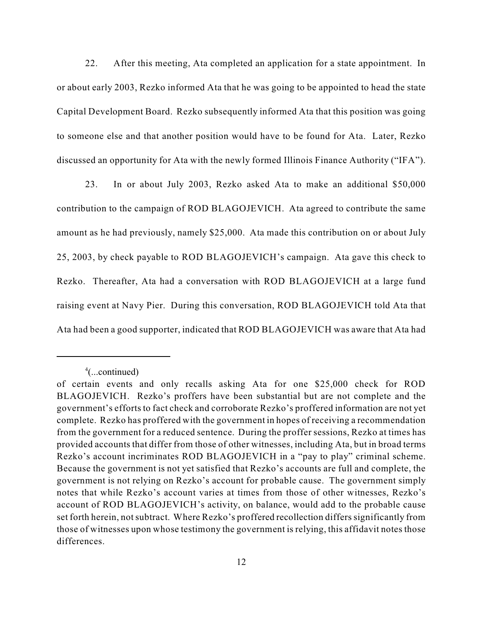22. After this meeting, Ata completed an application for a state appointment. In or about early 2003, Rezko informed Ata that he was going to be appointed to head the state Capital Development Board. Rezko subsequently informed Ata that this position was going to someone else and that another position would have to be found for Ata. Later, Rezko discussed an opportunity for Ata with the newly formed Illinois Finance Authority ("IFA").

23. In or about July 2003, Rezko asked Ata to make an additional \$50,000 contribution to the campaign of ROD BLAGOJEVICH. Ata agreed to contribute the same amount as he had previously, namely \$25,000. Ata made this contribution on or about July 25, 2003, by check payable to ROD BLAGOJEVICH's campaign. Ata gave this check to Rezko. Thereafter, Ata had a conversation with ROD BLAGOJEVICH at a large fund raising event at Navy Pier. During this conversation, ROD BLAGOJEVICH told Ata that Ata had been a good supporter, indicated that ROD BLAGOJEVICH was aware that Ata had

 $^4$ (...continued)

of certain events and only recalls asking Ata for one \$25,000 check for ROD BLAGOJEVICH. Rezko's proffers have been substantial but are not complete and the government's efforts to fact check and corroborate Rezko's proffered information are not yet complete. Rezko has proffered with the government in hopes of receiving a recommendation from the government for a reduced sentence. During the proffer sessions, Rezko at times has provided accounts that differ from those of other witnesses, including Ata, but in broad terms Rezko's account incriminates ROD BLAGOJEVICH in a "pay to play" criminal scheme. Because the government is not yet satisfied that Rezko's accounts are full and complete, the government is not relying on Rezko's account for probable cause. The government simply notes that while Rezko's account varies at times from those of other witnesses, Rezko's account of ROD BLAGOJEVICH's activity, on balance, would add to the probable cause set forth herein, not subtract. Where Rezko's proffered recollection differs significantly from those of witnesses upon whose testimony the government is relying, this affidavit notes those differences.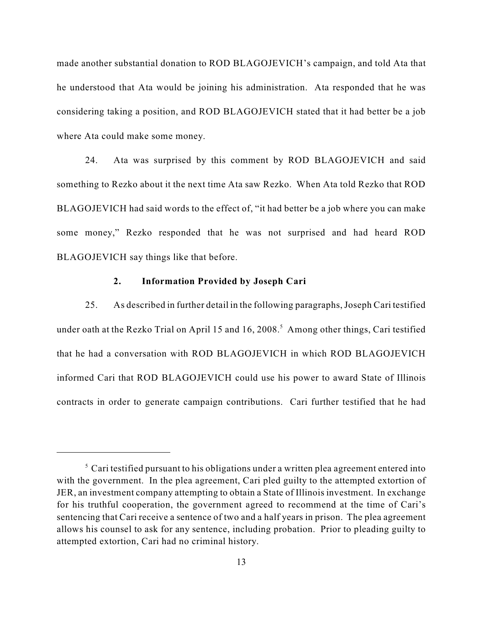made another substantial donation to ROD BLAGOJEVICH's campaign, and told Ata that he understood that Ata would be joining his administration. Ata responded that he was considering taking a position, and ROD BLAGOJEVICH stated that it had better be a job where Ata could make some money.

24. Ata was surprised by this comment by ROD BLAGOJEVICH and said something to Rezko about it the next time Ata saw Rezko. When Ata told Rezko that ROD BLAGOJEVICH had said words to the effect of, "it had better be a job where you can make some money," Rezko responded that he was not surprised and had heard ROD BLAGOJEVICH say things like that before.

#### **2. Information Provided by Joseph Cari**

25. As described in further detail in the following paragraphs,Joseph Cari testified under oath at the Rezko Trial on April 15 and 16, 2008.<sup>5</sup> Among other things, Cari testified that he had a conversation with ROD BLAGOJEVICH in which ROD BLAGOJEVICH informed Cari that ROD BLAGOJEVICH could use his power to award State of Illinois contracts in order to generate campaign contributions. Cari further testified that he had

 $\sigma$  Cari testified pursuant to his obligations under a written plea agreement entered into with the government. In the plea agreement, Cari pled guilty to the attempted extortion of JER, an investment company attempting to obtain a State of Illinois investment. In exchange for his truthful cooperation, the government agreed to recommend at the time of Cari's sentencing that Cari receive a sentence of two and a half years in prison. The plea agreement allows his counsel to ask for any sentence, including probation. Prior to pleading guilty to attempted extortion, Cari had no criminal history.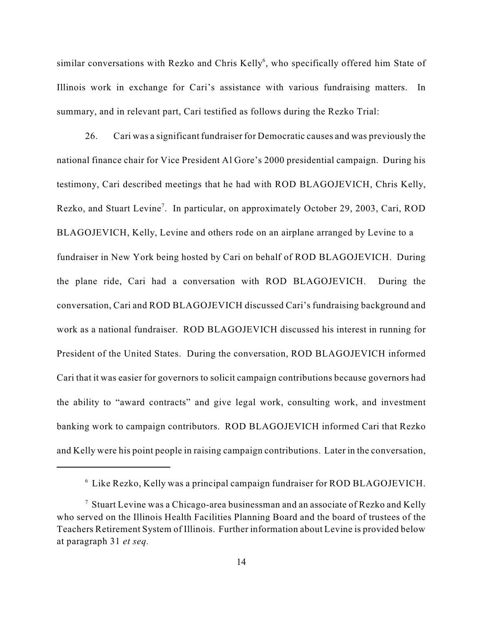similar conversations with Rezko and Chris Kelly<sup>6</sup>, who specifically offered him State of Illinois work in exchange for Cari's assistance with various fundraising matters. In summary, and in relevant part, Cari testified as follows during the Rezko Trial:

26. Cari was a significant fundraiser for Democratic causes and was previously the national finance chair for Vice President Al Gore's 2000 presidential campaign. During his testimony, Cari described meetings that he had with ROD BLAGOJEVICH, Chris Kelly, Rezko, and Stuart Levine<sup>7</sup>. In particular, on approximately October 29, 2003, Cari, ROD BLAGOJEVICH, Kelly, Levine and others rode on an airplane arranged by Levine to a fundraiser in New York being hosted by Cari on behalf of ROD BLAGOJEVICH. During the plane ride, Cari had a conversation with ROD BLAGOJEVICH. During the conversation, Cari and ROD BLAGOJEVICH discussed Cari's fundraising background and work as a national fundraiser. ROD BLAGOJEVICH discussed his interest in running for President of the United States. During the conversation, ROD BLAGOJEVICH informed Cari that it was easier for governors to solicit campaign contributions because governors had the ability to "award contracts" and give legal work, consulting work, and investment banking work to campaign contributors. ROD BLAGOJEVICH informed Cari that Rezko and Kelly were his point people in raising campaign contributions. Later in the conversation,

 $6$  Like Rezko, Kelly was a principal campaign fundraiser for ROD BLAGOJEVICH.

<sup>&</sup>lt;sup>7</sup> Stuart Levine was a Chicago-area businessman and an associate of Rezko and Kelly who served on the Illinois Health Facilities Planning Board and the board of trustees of the Teachers Retirement System of Illinois. Further information about Levine is provided below at paragraph 31 *et seq.*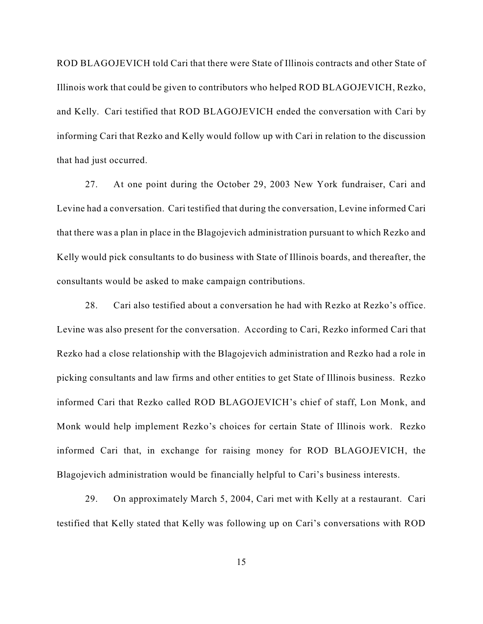ROD BLAGOJEVICH told Cari that there were State of Illinois contracts and other State of Illinois work that could be given to contributors who helped ROD BLAGOJEVICH, Rezko, and Kelly. Cari testified that ROD BLAGOJEVICH ended the conversation with Cari by informing Cari that Rezko and Kelly would follow up with Cari in relation to the discussion that had just occurred.

27. At one point during the October 29, 2003 New York fundraiser, Cari and Levine had a conversation. Cari testified that during the conversation, Levine informed Cari that there was a plan in place in the Blagojevich administration pursuant to which Rezko and Kelly would pick consultants to do business with State of Illinois boards, and thereafter, the consultants would be asked to make campaign contributions.

28. Cari also testified about a conversation he had with Rezko at Rezko's office. Levine was also present for the conversation. According to Cari, Rezko informed Cari that Rezko had a close relationship with the Blagojevich administration and Rezko had a role in picking consultants and law firms and other entities to get State of Illinois business. Rezko informed Cari that Rezko called ROD BLAGOJEVICH's chief of staff, Lon Monk, and Monk would help implement Rezko's choices for certain State of Illinois work. Rezko informed Cari that, in exchange for raising money for ROD BLAGOJEVICH, the Blagojevich administration would be financially helpful to Cari's business interests.

29. On approximately March 5, 2004, Cari met with Kelly at a restaurant. Cari testified that Kelly stated that Kelly was following up on Cari's conversations with ROD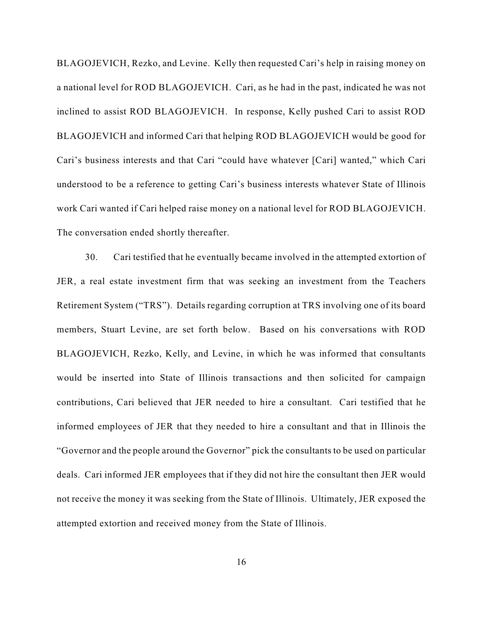BLAGOJEVICH, Rezko, and Levine. Kelly then requested Cari's help in raising money on a national level for ROD BLAGOJEVICH. Cari, as he had in the past, indicated he was not inclined to assist ROD BLAGOJEVICH. In response, Kelly pushed Cari to assist ROD BLAGOJEVICH and informed Cari that helping ROD BLAGOJEVICH would be good for Cari's business interests and that Cari "could have whatever [Cari] wanted," which Cari understood to be a reference to getting Cari's business interests whatever State of Illinois work Cari wanted if Cari helped raise money on a national level for ROD BLAGOJEVICH. The conversation ended shortly thereafter.

30. Cari testified that he eventually became involved in the attempted extortion of JER, a real estate investment firm that was seeking an investment from the Teachers Retirement System ("TRS"). Details regarding corruption at TRS involving one of its board members, Stuart Levine, are set forth below. Based on his conversations with ROD BLAGOJEVICH, Rezko, Kelly, and Levine, in which he was informed that consultants would be inserted into State of Illinois transactions and then solicited for campaign contributions, Cari believed that JER needed to hire a consultant. Cari testified that he informed employees of JER that they needed to hire a consultant and that in Illinois the "Governor and the people around the Governor" pick the consultants to be used on particular deals. Cari informed JER employees that if they did not hire the consultant then JER would not receive the money it was seeking from the State of Illinois. Ultimately, JER exposed the attempted extortion and received money from the State of Illinois.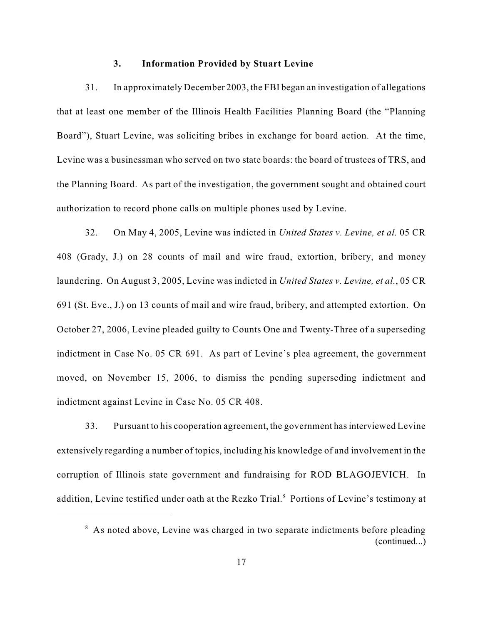#### **3. Information Provided by Stuart Levine**

31. In approximately December 2003, the FBI began an investigation of allegations that at least one member of the Illinois Health Facilities Planning Board (the "Planning Board"), Stuart Levine, was soliciting bribes in exchange for board action. At the time, Levine was a businessman who served on two state boards: the board of trustees of TRS, and the Planning Board. As part of the investigation, the government sought and obtained court authorization to record phone calls on multiple phones used by Levine.

32. On May 4, 2005, Levine was indicted in *United States v. Levine, et al.* 05 CR 408 (Grady, J.) on 28 counts of mail and wire fraud, extortion, bribery, and money laundering. On August 3, 2005, Levine was indicted in *United States v. Levine, et al.*, 05 CR 691 (St. Eve., J.) on 13 counts of mail and wire fraud, bribery, and attempted extortion. On October 27, 2006, Levine pleaded guilty to Counts One and Twenty-Three of a superseding indictment in Case No. 05 CR 691. As part of Levine's plea agreement, the government moved, on November 15, 2006, to dismiss the pending superseding indictment and indictment against Levine in Case No. 05 CR 408.

33. Pursuant to his cooperation agreement, the government has interviewed Levine extensively regarding a number of topics, including his knowledge of and involvement in the corruption of Illinois state government and fundraising for ROD BLAGOJEVICH. In addition, Levine testified under oath at the Rezko Trial.<sup>8</sup> Portions of Levine's testimony at

<sup>&</sup>lt;sup>8</sup> As noted above, Levine was charged in two separate indictments before pleading (continued...)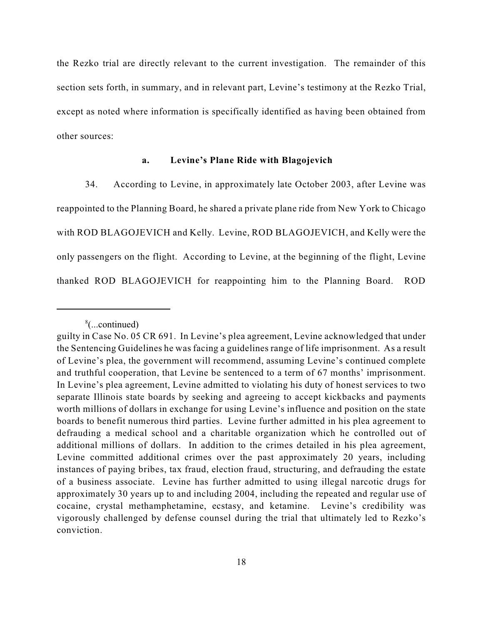the Rezko trial are directly relevant to the current investigation. The remainder of this section sets forth, in summary, and in relevant part, Levine's testimony at the Rezko Trial, except as noted where information is specifically identified as having been obtained from other sources:

### **a. Levine's Plane Ride with Blagojevich**

34. According to Levine, in approximately late October 2003, after Levine was reappointed to the Planning Board, he shared a private plane ride from New York to Chicago with ROD BLAGOJEVICH and Kelly. Levine, ROD BLAGOJEVICH, and Kelly were the only passengers on the flight. According to Levine, at the beginning of the flight, Levine thanked ROD BLAGOJEVICH for reappointing him to the Planning Board. ROD

 $%$ ...continued)

guilty in Case No. 05 CR 691. In Levine's plea agreement, Levine acknowledged that under the Sentencing Guidelines he was facing a guidelines range of life imprisonment. As a result of Levine's plea, the government will recommend, assuming Levine's continued complete and truthful cooperation, that Levine be sentenced to a term of 67 months' imprisonment. In Levine's plea agreement, Levine admitted to violating his duty of honest services to two separate Illinois state boards by seeking and agreeing to accept kickbacks and payments worth millions of dollars in exchange for using Levine's influence and position on the state boards to benefit numerous third parties. Levine further admitted in his plea agreement to defrauding a medical school and a charitable organization which he controlled out of additional millions of dollars. In addition to the crimes detailed in his plea agreement, Levine committed additional crimes over the past approximately 20 years, including instances of paying bribes, tax fraud, election fraud, structuring, and defrauding the estate of a business associate. Levine has further admitted to using illegal narcotic drugs for approximately 30 years up to and including 2004, including the repeated and regular use of cocaine, crystal methamphetamine, ecstasy, and ketamine. Levine's credibility was vigorously challenged by defense counsel during the trial that ultimately led to Rezko's conviction.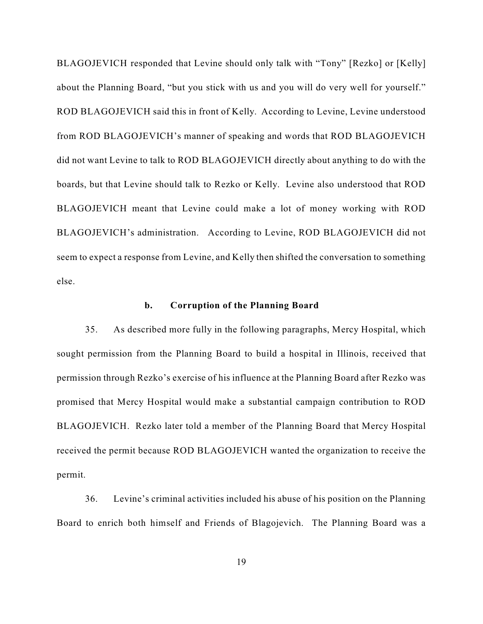BLAGOJEVICH responded that Levine should only talk with "Tony" [Rezko] or [Kelly] about the Planning Board, "but you stick with us and you will do very well for yourself." ROD BLAGOJEVICH said this in front of Kelly. According to Levine, Levine understood from ROD BLAGOJEVICH's manner of speaking and words that ROD BLAGOJEVICH did not want Levine to talk to ROD BLAGOJEVICH directly about anything to do with the boards, but that Levine should talk to Rezko or Kelly. Levine also understood that ROD BLAGOJEVICH meant that Levine could make a lot of money working with ROD BLAGOJEVICH's administration. According to Levine, ROD BLAGOJEVICH did not seem to expect a response from Levine, and Kelly then shifted the conversation to something else.

## **b. Corruption of the Planning Board**

35. As described more fully in the following paragraphs, Mercy Hospital, which sought permission from the Planning Board to build a hospital in Illinois, received that permission through Rezko's exercise of his influence at the Planning Board after Rezko was promised that Mercy Hospital would make a substantial campaign contribution to ROD BLAGOJEVICH. Rezko later told a member of the Planning Board that Mercy Hospital received the permit because ROD BLAGOJEVICH wanted the organization to receive the permit.

36. Levine's criminal activities included his abuse of his position on the Planning Board to enrich both himself and Friends of Blagojevich. The Planning Board was a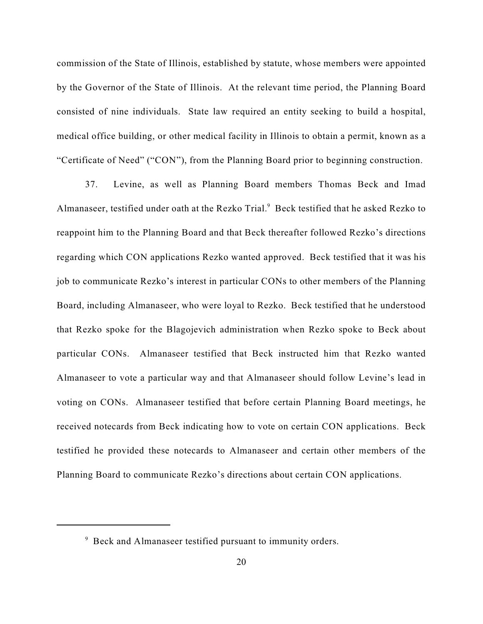commission of the State of Illinois, established by statute, whose members were appointed by the Governor of the State of Illinois. At the relevant time period, the Planning Board consisted of nine individuals. State law required an entity seeking to build a hospital, medical office building, or other medical facility in Illinois to obtain a permit, known as a "Certificate of Need" ("CON"), from the Planning Board prior to beginning construction.

37. Levine, as well as Planning Board members Thomas Beck and Imad Almanaseer, testified under oath at the Rezko Trial.<sup>9</sup> Beck testified that he asked Rezko to reappoint him to the Planning Board and that Beck thereafter followed Rezko's directions regarding which CON applications Rezko wanted approved. Beck testified that it was his job to communicate Rezko's interest in particular CONs to other members of the Planning Board, including Almanaseer, who were loyal to Rezko. Beck testified that he understood that Rezko spoke for the Blagojevich administration when Rezko spoke to Beck about particular CONs. Almanaseer testified that Beck instructed him that Rezko wanted Almanaseer to vote a particular way and that Almanaseer should follow Levine's lead in voting on CONs. Almanaseer testified that before certain Planning Board meetings, he received notecards from Beck indicating how to vote on certain CON applications. Beck testified he provided these notecards to Almanaseer and certain other members of the Planning Board to communicate Rezko's directions about certain CON applications.

 $9$  Beck and Almanaseer testified pursuant to immunity orders.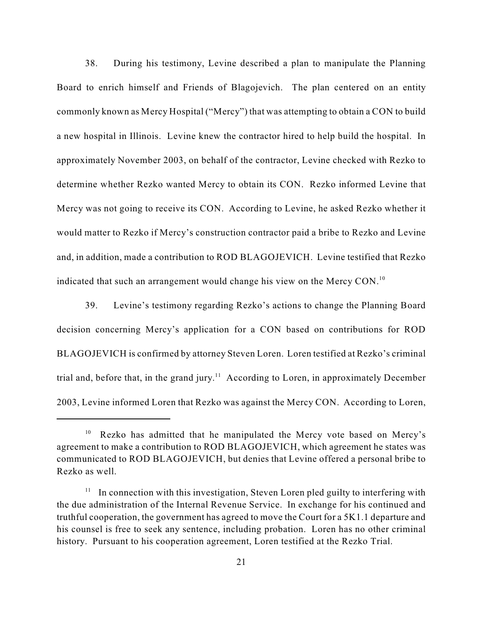38. During his testimony, Levine described a plan to manipulate the Planning Board to enrich himself and Friends of Blagojevich. The plan centered on an entity commonly known as Mercy Hospital ("Mercy") that was attempting to obtain a CON to build a new hospital in Illinois. Levine knew the contractor hired to help build the hospital. In approximately November 2003, on behalf of the contractor, Levine checked with Rezko to determine whether Rezko wanted Mercy to obtain its CON. Rezko informed Levine that Mercy was not going to receive its CON. According to Levine, he asked Rezko whether it would matter to Rezko if Mercy's construction contractor paid a bribe to Rezko and Levine and, in addition, made a contribution to ROD BLAGOJEVICH. Levine testified that Rezko indicated that such an arrangement would change his view on the Mercy CON.<sup>10</sup>

39. Levine's testimony regarding Rezko's actions to change the Planning Board decision concerning Mercy's application for a CON based on contributions for ROD BLAGOJEVICH is confirmed by attorney Steven Loren. Loren testified at Rezko's criminal trial and, before that, in the grand jury.<sup> $11$ </sup> According to Loren, in approximately December 2003, Levine informed Loren that Rezko was against the Mercy CON. According to Loren,

 $10$  Rezko has admitted that he manipulated the Mercy vote based on Mercy's agreement to make a contribution to ROD BLAGOJEVICH, which agreement he states was communicated to ROD BLAGOJEVICH, but denies that Levine offered a personal bribe to Rezko as well.

 $11$  In connection with this investigation, Steven Loren pled guilty to interfering with the due administration of the Internal Revenue Service. In exchange for his continued and truthful cooperation, the government has agreed to move the Court for a 5K1.1 departure and his counsel is free to seek any sentence, including probation. Loren has no other criminal history. Pursuant to his cooperation agreement, Loren testified at the Rezko Trial.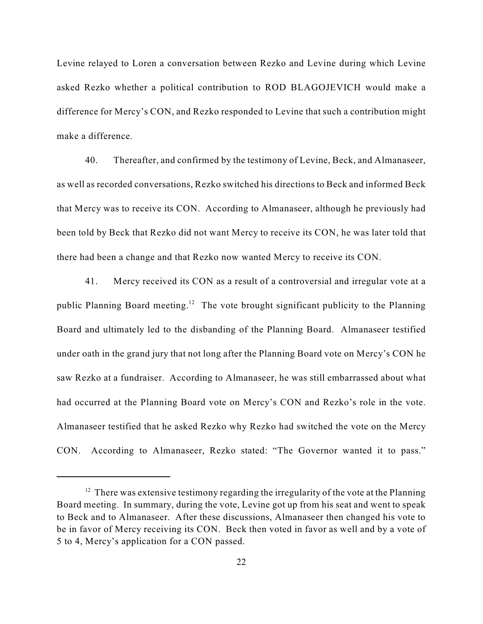Levine relayed to Loren a conversation between Rezko and Levine during which Levine asked Rezko whether a political contribution to ROD BLAGOJEVICH would make a difference for Mercy's CON, and Rezko responded to Levine that such a contribution might make a difference.

40. Thereafter, and confirmed by the testimony of Levine, Beck, and Almanaseer, as well as recorded conversations, Rezko switched his directions to Beck and informed Beck that Mercy was to receive its CON. According to Almanaseer, although he previously had been told by Beck that Rezko did not want Mercy to receive its CON, he was later told that there had been a change and that Rezko now wanted Mercy to receive its CON.

41. Mercy received its CON as a result of a controversial and irregular vote at a public Planning Board meeting.<sup>12</sup> The vote brought significant publicity to the Planning Board and ultimately led to the disbanding of the Planning Board. Almanaseer testified under oath in the grand jury that not long after the Planning Board vote on Mercy's CON he saw Rezko at a fundraiser. According to Almanaseer, he was still embarrassed about what had occurred at the Planning Board vote on Mercy's CON and Rezko's role in the vote. Almanaseer testified that he asked Rezko why Rezko had switched the vote on the Mercy CON. According to Almanaseer, Rezko stated: "The Governor wanted it to pass."

 $12$  There was extensive testimony regarding the irregularity of the vote at the Planning Board meeting. In summary, during the vote, Levine got up from his seat and went to speak to Beck and to Almanaseer. After these discussions, Almanaseer then changed his vote to be in favor of Mercy receiving its CON. Beck then voted in favor as well and by a vote of 5 to 4, Mercy's application for a CON passed.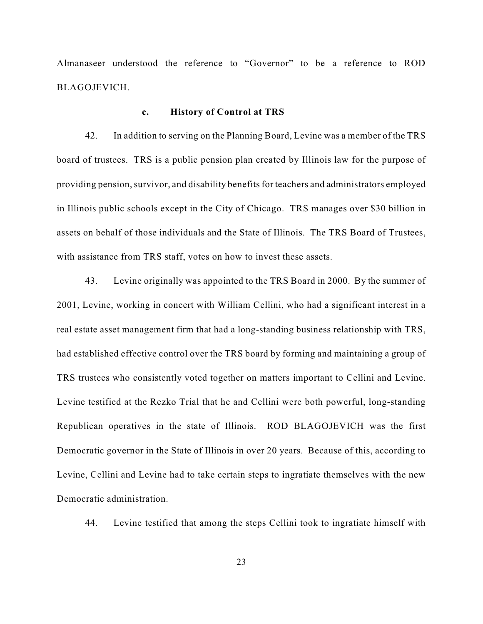Almanaseer understood the reference to "Governor" to be a reference to ROD BLAGOJEVICH.

#### **c. History of Control at TRS**

42. In addition to serving on the Planning Board, Levine was a member of the TRS board of trustees. TRS is a public pension plan created by Illinois law for the purpose of providing pension, survivor, and disability benefits for teachers and administrators employed in Illinois public schools except in the City of Chicago. TRS manages over \$30 billion in assets on behalf of those individuals and the State of Illinois. The TRS Board of Trustees, with assistance from TRS staff, votes on how to invest these assets.

43. Levine originally was appointed to the TRS Board in 2000. By the summer of 2001, Levine, working in concert with William Cellini, who had a significant interest in a real estate asset management firm that had a long-standing business relationship with TRS, had established effective control over the TRS board by forming and maintaining a group of TRS trustees who consistently voted together on matters important to Cellini and Levine. Levine testified at the Rezko Trial that he and Cellini were both powerful, long-standing Republican operatives in the state of Illinois. ROD BLAGOJEVICH was the first Democratic governor in the State of Illinois in over 20 years. Because of this, according to Levine, Cellini and Levine had to take certain steps to ingratiate themselves with the new Democratic administration.

44. Levine testified that among the steps Cellini took to ingratiate himself with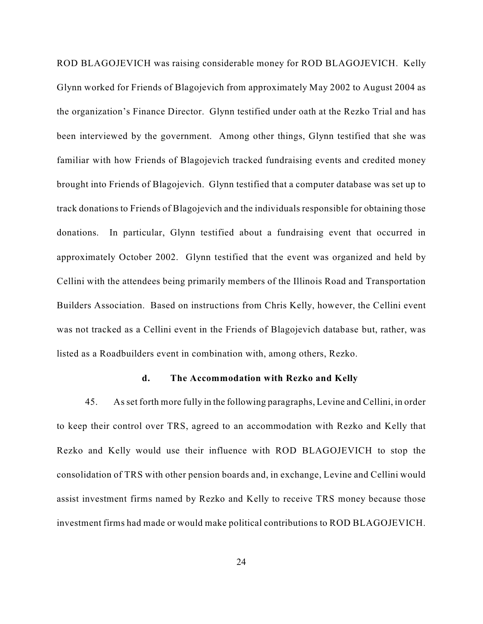ROD BLAGOJEVICH was raising considerable money for ROD BLAGOJEVICH. Kelly Glynn worked for Friends of Blagojevich from approximately May 2002 to August 2004 as the organization's Finance Director. Glynn testified under oath at the Rezko Trial and has been interviewed by the government. Among other things, Glynn testified that she was familiar with how Friends of Blagojevich tracked fundraising events and credited money brought into Friends of Blagojevich. Glynn testified that a computer database was set up to track donations to Friends of Blagojevich and the individuals responsible for obtaining those donations. In particular, Glynn testified about a fundraising event that occurred in approximately October 2002. Glynn testified that the event was organized and held by Cellini with the attendees being primarily members of the Illinois Road and Transportation Builders Association. Based on instructions from Chris Kelly, however, the Cellini event was not tracked as a Cellini event in the Friends of Blagojevich database but, rather, was listed as a Roadbuilders event in combination with, among others, Rezko.

#### **d. The Accommodation with Rezko and Kelly**

45. As set forth more fully in the following paragraphs, Levine and Cellini, in order to keep their control over TRS, agreed to an accommodation with Rezko and Kelly that Rezko and Kelly would use their influence with ROD BLAGOJEVICH to stop the consolidation of TRS with other pension boards and, in exchange, Levine and Cellini would assist investment firms named by Rezko and Kelly to receive TRS money because those investment firms had made or would make political contributions to ROD BLAGOJEVICH.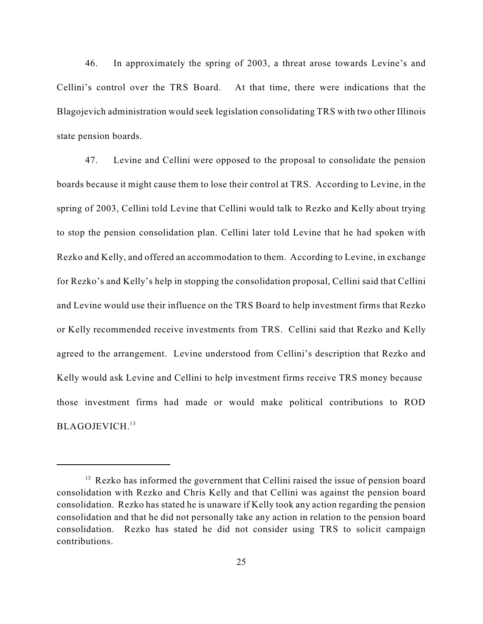46. In approximately the spring of 2003, a threat arose towards Levine's and Cellini's control over the TRS Board. At that time, there were indications that the Blagojevich administration would seek legislation consolidating TRS with two other Illinois state pension boards.

47. Levine and Cellini were opposed to the proposal to consolidate the pension boards because it might cause them to lose their control at TRS. According to Levine, in the spring of 2003, Cellini told Levine that Cellini would talk to Rezko and Kelly about trying to stop the pension consolidation plan. Cellini later told Levine that he had spoken with Rezko and Kelly, and offered an accommodation to them. According to Levine, in exchange for Rezko's and Kelly's help in stopping the consolidation proposal, Cellini said that Cellini and Levine would use their influence on the TRS Board to help investment firms that Rezko or Kelly recommended receive investments from TRS. Cellini said that Rezko and Kelly agreed to the arrangement. Levine understood from Cellini's description that Rezko and Kelly would ask Levine and Cellini to help investment firms receive TRS money because those investment firms had made or would make political contributions to ROD BLAGOJEVICH. 13

 $13$  Rezko has informed the government that Cellini raised the issue of pension board consolidation with Rezko and Chris Kelly and that Cellini was against the pension board consolidation. Rezko has stated he is unaware if Kelly took any action regarding the pension consolidation and that he did not personally take any action in relation to the pension board consolidation. Rezko has stated he did not consider using TRS to solicit campaign contributions.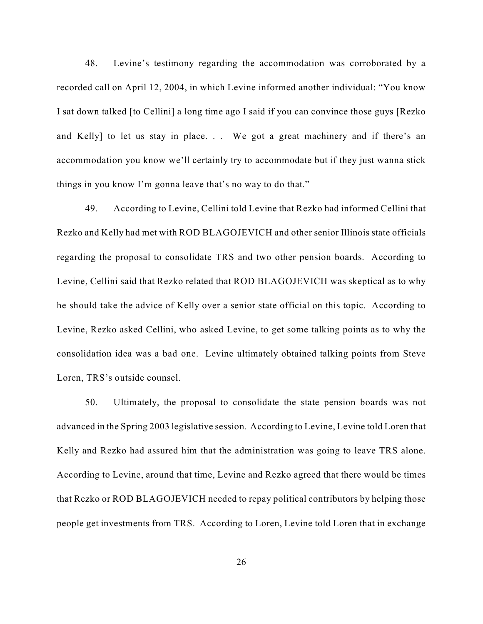48. Levine's testimony regarding the accommodation was corroborated by a recorded call on April 12, 2004, in which Levine informed another individual: "You know I sat down talked [to Cellini] a long time ago I said if you can convince those guys [Rezko and Kelly] to let us stay in place. . . We got a great machinery and if there's an accommodation you know we'll certainly try to accommodate but if they just wanna stick things in you know I'm gonna leave that's no way to do that."

49. According to Levine, Cellini told Levine that Rezko had informed Cellini that Rezko and Kelly had met with ROD BLAGOJEVICH and other senior Illinois state officials regarding the proposal to consolidate TRS and two other pension boards. According to Levine, Cellini said that Rezko related that ROD BLAGOJEVICH was skeptical as to why he should take the advice of Kelly over a senior state official on this topic. According to Levine, Rezko asked Cellini, who asked Levine, to get some talking points as to why the consolidation idea was a bad one. Levine ultimately obtained talking points from Steve Loren, TRS's outside counsel.

50. Ultimately, the proposal to consolidate the state pension boards was not advanced in the Spring 2003 legislative session. According to Levine, Levine told Loren that Kelly and Rezko had assured him that the administration was going to leave TRS alone. According to Levine, around that time, Levine and Rezko agreed that there would be times that Rezko or ROD BLAGOJEVICH needed to repay political contributors by helping those people get investments from TRS. According to Loren, Levine told Loren that in exchange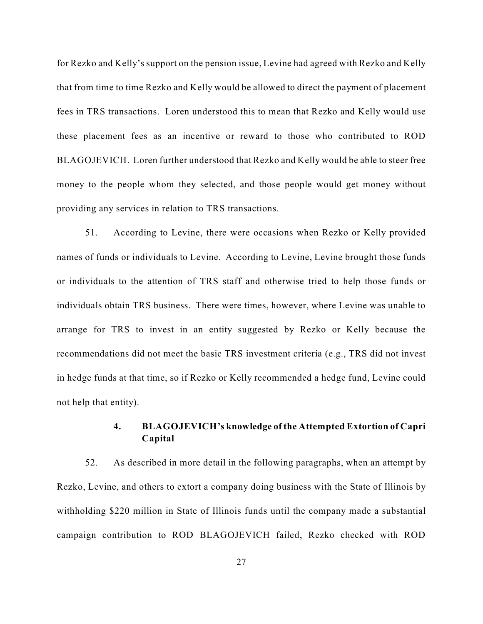for Rezko and Kelly's support on the pension issue, Levine had agreed with Rezko and Kelly that from time to time Rezko and Kelly would be allowed to direct the payment of placement fees in TRS transactions. Loren understood this to mean that Rezko and Kelly would use these placement fees as an incentive or reward to those who contributed to ROD BLAGOJEVICH. Loren further understood that Rezko and Kelly would be able to steer free money to the people whom they selected, and those people would get money without providing any services in relation to TRS transactions.

51. According to Levine, there were occasions when Rezko or Kelly provided names of funds or individuals to Levine. According to Levine, Levine brought those funds or individuals to the attention of TRS staff and otherwise tried to help those funds or individuals obtain TRS business. There were times, however, where Levine was unable to arrange for TRS to invest in an entity suggested by Rezko or Kelly because the recommendations did not meet the basic TRS investment criteria (e.g., TRS did not invest in hedge funds at that time, so if Rezko or Kelly recommended a hedge fund, Levine could not help that entity).

# **4. BLAGOJEVICH's knowledge of the Attempted Extortion of Capri Capital**

52. As described in more detail in the following paragraphs, when an attempt by Rezko, Levine, and others to extort a company doing business with the State of Illinois by withholding \$220 million in State of Illinois funds until the company made a substantial campaign contribution to ROD BLAGOJEVICH failed, Rezko checked with ROD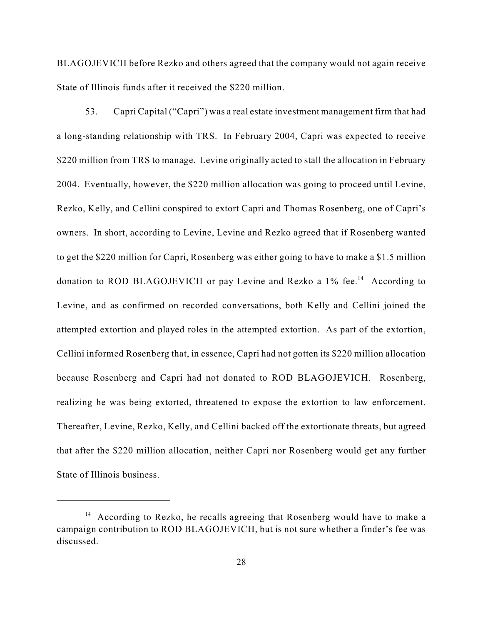BLAGOJEVICH before Rezko and others agreed that the company would not again receive State of Illinois funds after it received the \$220 million.

53. Capri Capital ("Capri") was a real estate investment management firm that had a long-standing relationship with TRS. In February 2004, Capri was expected to receive \$220 million from TRS to manage. Levine originally acted to stall the allocation in February 2004. Eventually, however, the \$220 million allocation was going to proceed until Levine, Rezko, Kelly, and Cellini conspired to extort Capri and Thomas Rosenberg, one of Capri's owners. In short, according to Levine, Levine and Rezko agreed that if Rosenberg wanted to get the \$220 million for Capri, Rosenberg was either going to have to make a \$1.5 million donation to ROD BLAGOJEVICH or pay Levine and Rezko a  $1\%$  fee.<sup>14</sup> According to Levine, and as confirmed on recorded conversations, both Kelly and Cellini joined the attempted extortion and played roles in the attempted extortion. As part of the extortion, Cellini informed Rosenberg that, in essence, Capri had not gotten its \$220 million allocation because Rosenberg and Capri had not donated to ROD BLAGOJEVICH. Rosenberg, realizing he was being extorted, threatened to expose the extortion to law enforcement. Thereafter, Levine, Rezko, Kelly, and Cellini backed off the extortionate threats, but agreed that after the \$220 million allocation, neither Capri nor Rosenberg would get any further State of Illinois business.

 $14$  According to Rezko, he recalls agreeing that Rosenberg would have to make a campaign contribution to ROD BLAGOJEVICH, but is not sure whether a finder's fee was discussed.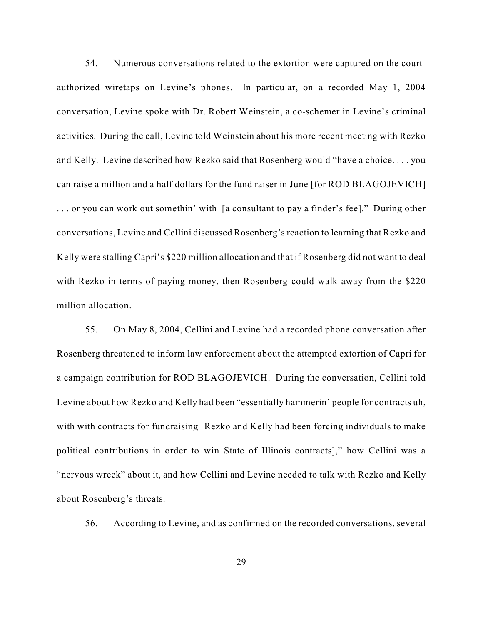54. Numerous conversations related to the extortion were captured on the courtauthorized wiretaps on Levine's phones. In particular, on a recorded May 1, 2004 conversation, Levine spoke with Dr. Robert Weinstein, a co-schemer in Levine's criminal activities. During the call, Levine told Weinstein about his more recent meeting with Rezko and Kelly. Levine described how Rezko said that Rosenberg would "have a choice. . . . you can raise a million and a half dollars for the fund raiser in June [for ROD BLAGOJEVICH] . . . or you can work out somethin' with [a consultant to pay a finder's fee]." During other conversations, Levine and Cellini discussed Rosenberg's reaction to learning that Rezko and Kelly were stalling Capri's \$220 million allocation and that if Rosenberg did not want to deal with Rezko in terms of paying money, then Rosenberg could walk away from the \$220 million allocation.

55. On May 8, 2004, Cellini and Levine had a recorded phone conversation after Rosenberg threatened to inform law enforcement about the attempted extortion of Capri for a campaign contribution for ROD BLAGOJEVICH. During the conversation, Cellini told Levine about how Rezko and Kelly had been "essentially hammerin' people for contracts uh, with with contracts for fundraising [Rezko and Kelly had been forcing individuals to make political contributions in order to win State of Illinois contracts]," how Cellini was a "nervous wreck" about it, and how Cellini and Levine needed to talk with Rezko and Kelly about Rosenberg's threats.

56. According to Levine, and as confirmed on the recorded conversations, several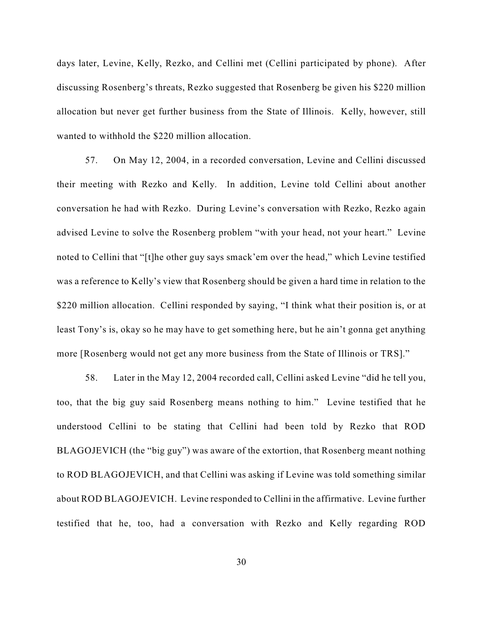days later, Levine, Kelly, Rezko, and Cellini met (Cellini participated by phone). After discussing Rosenberg's threats, Rezko suggested that Rosenberg be given his \$220 million allocation but never get further business from the State of Illinois. Kelly, however, still wanted to withhold the \$220 million allocation.

57. On May 12, 2004, in a recorded conversation, Levine and Cellini discussed their meeting with Rezko and Kelly. In addition, Levine told Cellini about another conversation he had with Rezko. During Levine's conversation with Rezko, Rezko again advised Levine to solve the Rosenberg problem "with your head, not your heart." Levine noted to Cellini that "[t]he other guy says smack'em over the head," which Levine testified was a reference to Kelly's view that Rosenberg should be given a hard time in relation to the \$220 million allocation. Cellini responded by saying, "I think what their position is, or at least Tony's is, okay so he may have to get something here, but he ain't gonna get anything more [Rosenberg would not get any more business from the State of Illinois or TRS]."

58. Later in the May 12, 2004 recorded call, Cellini asked Levine "did he tell you, too, that the big guy said Rosenberg means nothing to him." Levine testified that he understood Cellini to be stating that Cellini had been told by Rezko that ROD BLAGOJEVICH (the "big guy") was aware of the extortion, that Rosenberg meant nothing to ROD BLAGOJEVICH, and that Cellini was asking if Levine was told something similar about ROD BLAGOJEVICH. Levine responded to Cellini in the affirmative. Levine further testified that he, too, had a conversation with Rezko and Kelly regarding ROD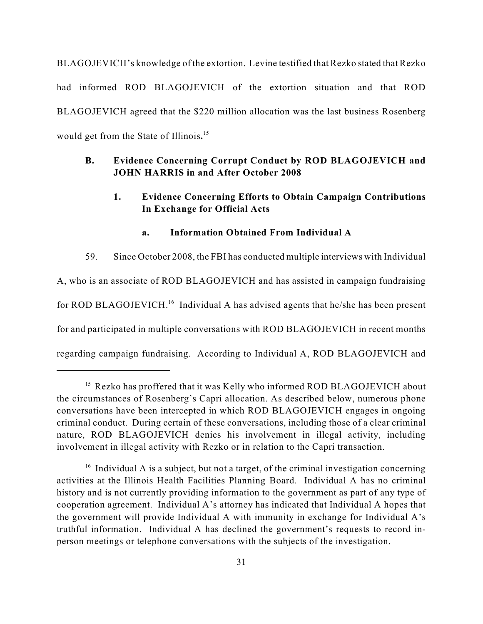BLAGOJEVICH's knowledge of the extortion. Levine testified that Rezko stated that Rezko had informed ROD BLAGOJEVICH of the extortion situation and that ROD BLAGOJEVICH agreed that the \$220 million allocation was the last business Rosenberg would get from the State of Illinois**.** 15

## **B. Evidence Concerning Corrupt Conduct by ROD BLAGOJEVICH and JOHN HARRIS in and After October 2008**

## **1. Evidence Concerning Efforts to Obtain Campaign Contributions In Exchange for Official Acts**

### **a. Information Obtained From Individual A**

59. Since October 2008, the FBI has conducted multiple interviews with Individual A, who is an associate of ROD BLAGOJEVICH and has assisted in campaign fundraising for ROD BLAGOJEVICH.<sup>16</sup> Individual A has advised agents that he/she has been present for and participated in multiple conversations with ROD BLAGOJEVICH in recent months regarding campaign fundraising. According to Individual A, ROD BLAGOJEVICH and

<sup>&</sup>lt;sup>15</sup> Rezko has proffered that it was Kelly who informed ROD BLAGOJEVICH about the circumstances of Rosenberg's Capri allocation. As described below, numerous phone conversations have been intercepted in which ROD BLAGOJEVICH engages in ongoing criminal conduct. During certain of these conversations, including those of a clear criminal nature, ROD BLAGOJEVICH denies his involvement in illegal activity, including involvement in illegal activity with Rezko or in relation to the Capri transaction.

 $16$  Individual A is a subject, but not a target, of the criminal investigation concerning activities at the Illinois Health Facilities Planning Board. Individual A has no criminal history and is not currently providing information to the government as part of any type of cooperation agreement. Individual A's attorney has indicated that Individual A hopes that the government will provide Individual A with immunity in exchange for Individual A's truthful information. Individual A has declined the government's requests to record inperson meetings or telephone conversations with the subjects of the investigation.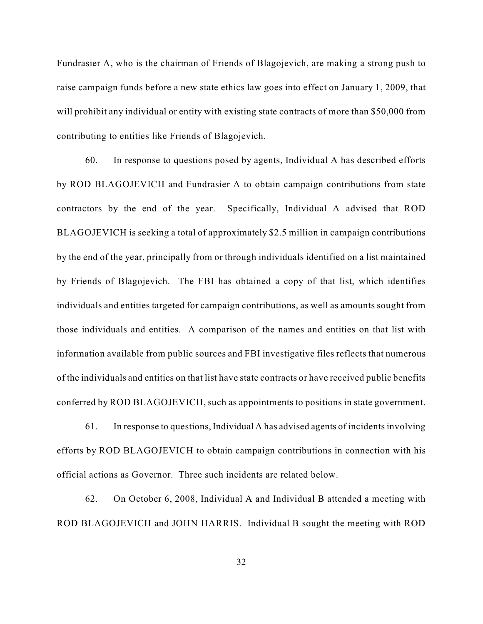Fundrasier A, who is the chairman of Friends of Blagojevich, are making a strong push to raise campaign funds before a new state ethics law goes into effect on January 1, 2009, that will prohibit any individual or entity with existing state contracts of more than \$50,000 from contributing to entities like Friends of Blagojevich.

60. In response to questions posed by agents, Individual A has described efforts by ROD BLAGOJEVICH and Fundrasier A to obtain campaign contributions from state contractors by the end of the year. Specifically, Individual A advised that ROD BLAGOJEVICH is seeking a total of approximately \$2.5 million in campaign contributions by the end of the year, principally from or through individuals identified on a list maintained by Friends of Blagojevich. The FBI has obtained a copy of that list, which identifies individuals and entities targeted for campaign contributions, as well as amounts sought from those individuals and entities. A comparison of the names and entities on that list with information available from public sources and FBI investigative files reflects that numerous of the individuals and entities on that list have state contracts or have received public benefits conferred by ROD BLAGOJEVICH, such as appointments to positions in state government.

61. In response to questions, Individual A has advised agents of incidents involving efforts by ROD BLAGOJEVICH to obtain campaign contributions in connection with his official actions as Governor. Three such incidents are related below.

62. On October 6, 2008, Individual A and Individual B attended a meeting with ROD BLAGOJEVICH and JOHN HARRIS. Individual B sought the meeting with ROD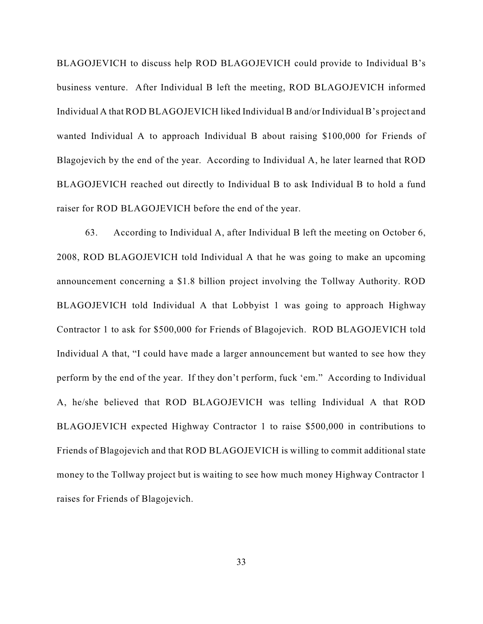BLAGOJEVICH to discuss help ROD BLAGOJEVICH could provide to Individual B's business venture. After Individual B left the meeting, ROD BLAGOJEVICH informed Individual A that ROD BLAGOJEVICH liked Individual B and/or Individual B's project and wanted Individual A to approach Individual B about raising \$100,000 for Friends of Blagojevich by the end of the year. According to Individual A, he later learned that ROD BLAGOJEVICH reached out directly to Individual B to ask Individual B to hold a fund raiser for ROD BLAGOJEVICH before the end of the year.

63. According to Individual A, after Individual B left the meeting on October 6, 2008, ROD BLAGOJEVICH told Individual A that he was going to make an upcoming announcement concerning a \$1.8 billion project involving the Tollway Authority. ROD BLAGOJEVICH told Individual A that Lobbyist 1 was going to approach Highway Contractor 1 to ask for \$500,000 for Friends of Blagojevich. ROD BLAGOJEVICH told Individual A that, "I could have made a larger announcement but wanted to see how they perform by the end of the year. If they don't perform, fuck 'em." According to Individual A, he/she believed that ROD BLAGOJEVICH was telling Individual A that ROD BLAGOJEVICH expected Highway Contractor 1 to raise \$500,000 in contributions to Friends of Blagojevich and that ROD BLAGOJEVICH is willing to commit additional state money to the Tollway project but is waiting to see how much money Highway Contractor 1 raises for Friends of Blagojevich.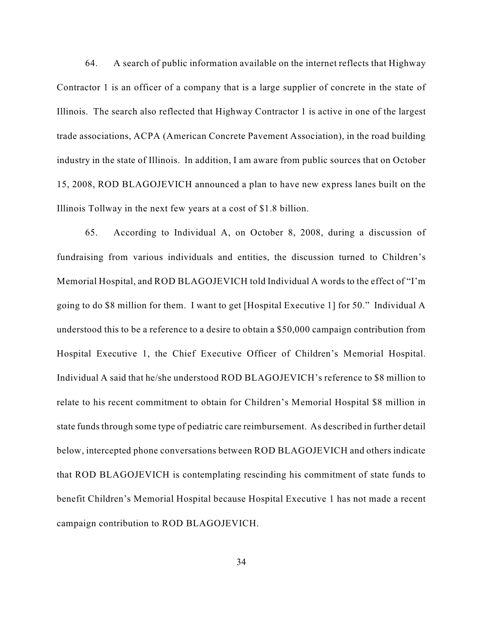64. A search of public information available on the internet reflects that Highway Contractor 1 is an officer of a company that is a large supplier of concrete in the state of Illinois. The search also reflected that Highway Contractor 1 is active in one of the largest trade associations, ACPA (American Concrete Pavement Association), in the road building industry in the state of Illinois. In addition, I am aware from public sources that on October 15, 2008, ROD BLAGOJEVICH announced a plan to have new express lanes built on the Illinois Tollway in the next few years at a cost of \$1.8 billion.

65. According to Individual A, on October 8, 2008, during a discussion of fundraising from various individuals and entities, the discussion turned to Children's Memorial Hospital, and ROD BLAGOJEVICH told Individual A words to the effect of "I'm going to do \$8 million for them. I want to get [Hospital Executive 1] for 50." Individual A understood this to be a reference to a desire to obtain a \$50,000 campaign contribution from Hospital Executive 1, the Chief Executive Officer of Children's Memorial Hospital. Individual A said that he/she understood ROD BLAGOJEVICH's reference to \$8 million to relate to his recent commitment to obtain for Children's Memorial Hospital \$8 million in state funds through some type of pediatric care reimbursement. As described in further detail below, intercepted phone conversations between ROD BLAGOJEVICH and others indicate that ROD BLAGOJEVICH is contemplating rescinding his commitment of state funds to benefit Children's Memorial Hospital because Hospital Executive 1 has not made a recent campaign contribution to ROD BLAGOJEVICH.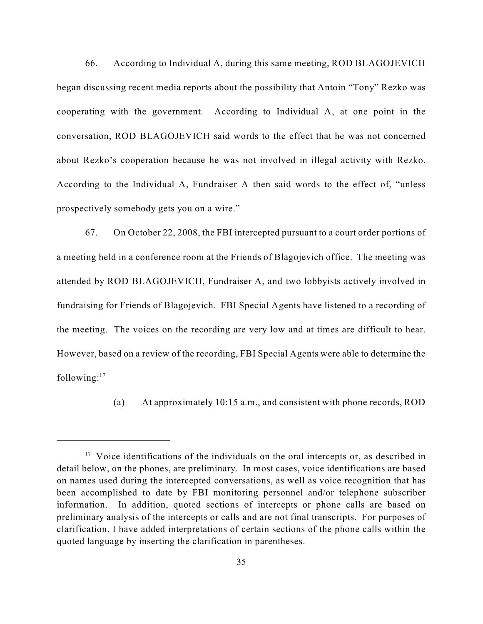66. According to Individual A, during this same meeting, ROD BLAGOJEVICH began discussing recent media reports about the possibility that Antoin "Tony" Rezko was cooperating with the government. According to Individual A, at one point in the conversation, ROD BLAGOJEVICH said words to the effect that he was not concerned about Rezko's cooperation because he was not involved in illegal activity with Rezko. According to the Individual A, Fundraiser A then said words to the effect of, "unless prospectively somebody gets you on a wire."

67. On October 22, 2008, the FBI intercepted pursuant to a court order portions of a meeting held in a conference room at the Friends of Blagojevich office. The meeting was attended by ROD BLAGOJEVICH, Fundraiser A, and two lobbyists actively involved in fundraising for Friends of Blagojevich. FBI Special Agents have listened to a recording of the meeting. The voices on the recording are very low and at times are difficult to hear. However, based on a review of the recording, FBI Special Agents were able to determine the following: $17$ 

(a) At approximately 10:15 a.m., and consistent with phone records, ROD

 $17$  Voice identifications of the individuals on the oral intercepts or, as described in detail below, on the phones, are preliminary. In most cases, voice identifications are based on names used during the intercepted conversations, as well as voice recognition that has been accomplished to date by FBI monitoring personnel and/or telephone subscriber information. In addition, quoted sections of intercepts or phone calls are based on preliminary analysis of the intercepts or calls and are not final transcripts. For purposes of clarification, I have added interpretations of certain sections of the phone calls within the quoted language by inserting the clarification in parentheses.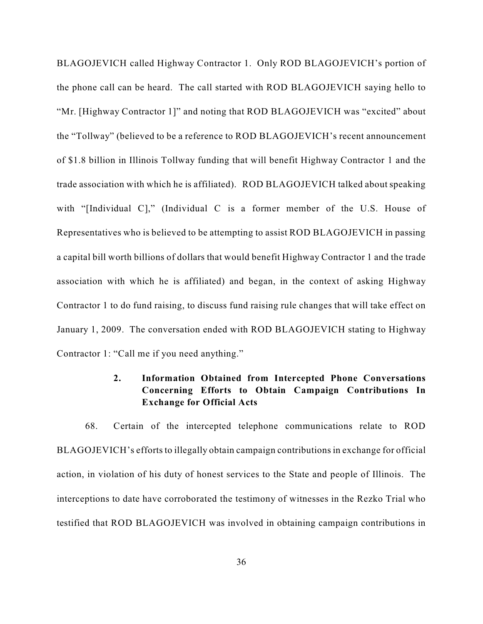BLAGOJEVICH called Highway Contractor 1. Only ROD BLAGOJEVICH's portion of the phone call can be heard. The call started with ROD BLAGOJEVICH saying hello to "Mr. [Highway Contractor 1]" and noting that ROD BLAGOJEVICH was "excited" about the "Tollway" (believed to be a reference to ROD BLAGOJEVICH's recent announcement of \$1.8 billion in Illinois Tollway funding that will benefit Highway Contractor 1 and the trade association with which he is affiliated). ROD BLAGOJEVICH talked about speaking with "[Individual C]," (Individual C is a former member of the U.S. House of Representatives who is believed to be attempting to assist ROD BLAGOJEVICH in passing a capital bill worth billions of dollars that would benefit Highway Contractor 1 and the trade association with which he is affiliated) and began, in the context of asking Highway Contractor 1 to do fund raising, to discuss fund raising rule changes that will take effect on January 1, 2009. The conversation ended with ROD BLAGOJEVICH stating to Highway Contractor 1: "Call me if you need anything."

## **2. Information Obtained from Intercepted Phone Conversations Concerning Efforts to Obtain Campaign Contributions In Exchange for Official Acts**

68. Certain of the intercepted telephone communications relate to ROD BLAGOJEVICH's efforts to illegally obtain campaign contributions in exchange for official action, in violation of his duty of honest services to the State and people of Illinois. The interceptions to date have corroborated the testimony of witnesses in the Rezko Trial who testified that ROD BLAGOJEVICH was involved in obtaining campaign contributions in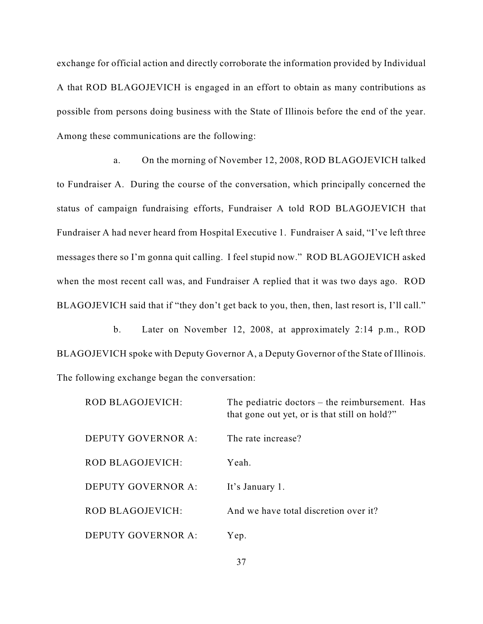exchange for official action and directly corroborate the information provided by Individual A that ROD BLAGOJEVICH is engaged in an effort to obtain as many contributions as possible from persons doing business with the State of Illinois before the end of the year. Among these communications are the following:

a. On the morning of November 12, 2008, ROD BLAGOJEVICH talked to Fundraiser A. During the course of the conversation, which principally concerned the status of campaign fundraising efforts, Fundraiser A told ROD BLAGOJEVICH that Fundraiser A had never heard from Hospital Executive 1. Fundraiser A said, "I've left three messages there so I'm gonna quit calling. I feel stupid now." ROD BLAGOJEVICH asked when the most recent call was, and Fundraiser A replied that it was two days ago. ROD BLAGOJEVICH said that if "they don't get back to you, then, then, last resort is, I'll call."

b. Later on November 12, 2008, at approximately 2:14 p.m., ROD BLAGOJEVICH spoke with Deputy Governor A, a Deputy Governor of the State of Illinois. The following exchange began the conversation:

| <b>ROD BLAGOJEVICH:</b>   | The pediatric doctors $-$ the reimbursement. Has<br>that gone out yet, or is that still on hold?" |
|---------------------------|---------------------------------------------------------------------------------------------------|
| DEPUTY GOVERNOR A:        | The rate increase?                                                                                |
| <b>ROD BLAGOJEVICH:</b>   | Yeah.                                                                                             |
| DEPUTY GOVERNOR A:        | It's January 1.                                                                                   |
| <b>ROD BLAGOJEVICH:</b>   | And we have total discretion over it?                                                             |
| <b>DEPUTY GOVERNOR A:</b> | Yep.                                                                                              |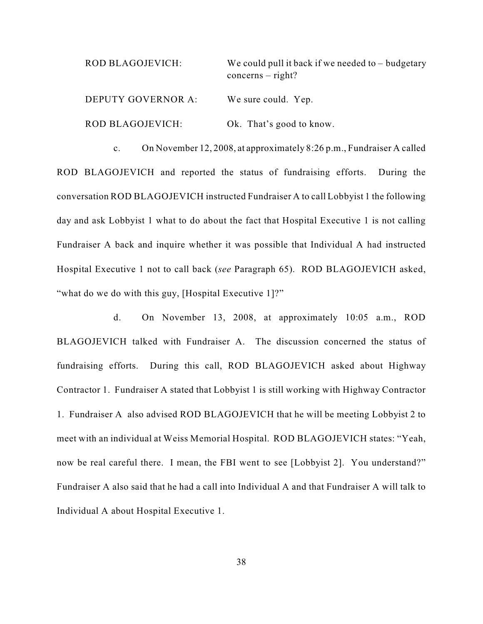| ROD BLAGOJEVICH:   | We could pull it back if we needed to $-$ budgetary<br>$concerns - right?$ |
|--------------------|----------------------------------------------------------------------------|
| DEPUTY GOVERNOR A: | We sure could. Yep.                                                        |
| ROD BLAGOJEVICH:   | Ok. That's good to know.                                                   |

c. On November 12, 2008, at approximately 8:26 p.m., Fundraiser A called ROD BLAGOJEVICH and reported the status of fundraising efforts. During the conversation ROD BLAGOJEVICH instructed Fundraiser A to call Lobbyist 1 the following day and ask Lobbyist 1 what to do about the fact that Hospital Executive 1 is not calling Fundraiser A back and inquire whether it was possible that Individual A had instructed Hospital Executive 1 not to call back (*see* Paragraph 65). ROD BLAGOJEVICH asked, "what do we do with this guy, [Hospital Executive 1]?"

d. On November 13, 2008, at approximately 10:05 a.m., ROD BLAGOJEVICH talked with Fundraiser A. The discussion concerned the status of fundraising efforts. During this call, ROD BLAGOJEVICH asked about Highway Contractor 1. Fundraiser A stated that Lobbyist 1 is still working with Highway Contractor 1. Fundraiser A also advised ROD BLAGOJEVICH that he will be meeting Lobbyist 2 to meet with an individual at Weiss Memorial Hospital. ROD BLAGOJEVICH states: "Yeah, now be real careful there. I mean, the FBI went to see [Lobbyist 2]. You understand?" Fundraiser A also said that he had a call into Individual A and that Fundraiser A will talk to Individual A about Hospital Executive 1.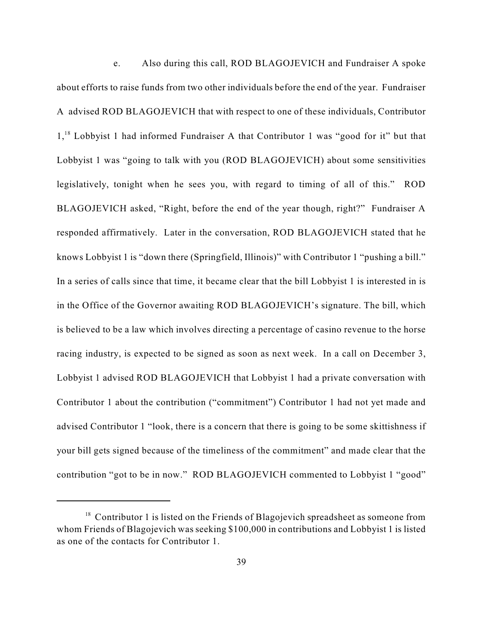e. Also during this call, ROD BLAGOJEVICH and Fundraiser A spoke about efforts to raise funds from two other individuals before the end of the year. Fundraiser A advised ROD BLAGOJEVICH that with respect to one of these individuals, Contributor  $1<sup>18</sup>$  Lobbyist 1 had informed Fundraiser A that Contributor 1 was "good for it" but that Lobbyist 1 was "going to talk with you (ROD BLAGOJEVICH) about some sensitivities legislatively, tonight when he sees you, with regard to timing of all of this." ROD BLAGOJEVICH asked, "Right, before the end of the year though, right?" Fundraiser A responded affirmatively. Later in the conversation, ROD BLAGOJEVICH stated that he knows Lobbyist 1 is "down there (Springfield, Illinois)" with Contributor 1 "pushing a bill." In a series of calls since that time, it became clear that the bill Lobbyist 1 is interested in is in the Office of the Governor awaiting ROD BLAGOJEVICH's signature. The bill, which is believed to be a law which involves directing a percentage of casino revenue to the horse racing industry, is expected to be signed as soon as next week. In a call on December 3, Lobbyist 1 advised ROD BLAGOJEVICH that Lobbyist 1 had a private conversation with Contributor 1 about the contribution ("commitment") Contributor 1 had not yet made and advised Contributor 1 "look, there is a concern that there is going to be some skittishness if your bill gets signed because of the timeliness of the commitment" and made clear that the contribution "got to be in now." ROD BLAGOJEVICH commented to Lobbyist 1 "good"

 $18$  Contributor 1 is listed on the Friends of Blagojevich spreadsheet as someone from whom Friends of Blagojevich was seeking \$100,000 in contributions and Lobbyist 1 is listed as one of the contacts for Contributor 1.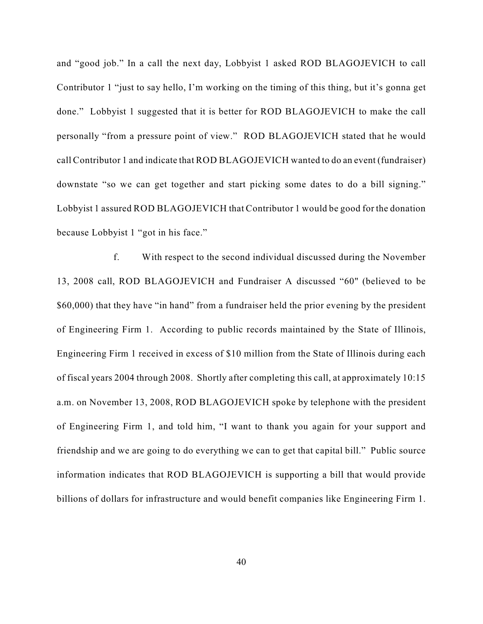and "good job." In a call the next day, Lobbyist 1 asked ROD BLAGOJEVICH to call Contributor 1 "just to say hello, I'm working on the timing of this thing, but it's gonna get done." Lobbyist 1 suggested that it is better for ROD BLAGOJEVICH to make the call personally "from a pressure point of view." ROD BLAGOJEVICH stated that he would call Contributor 1 and indicate that ROD BLAGOJEVICH wanted to do an event (fundraiser) downstate "so we can get together and start picking some dates to do a bill signing." Lobbyist 1 assured ROD BLAGOJEVICH that Contributor 1 would be good for the donation because Lobbyist 1 "got in his face."

f. With respect to the second individual discussed during the November 13, 2008 call, ROD BLAGOJEVICH and Fundraiser A discussed "60" (believed to be \$60,000) that they have "in hand" from a fundraiser held the prior evening by the president of Engineering Firm 1. According to public records maintained by the State of Illinois, Engineering Firm 1 received in excess of \$10 million from the State of Illinois during each of fiscal years 2004 through 2008. Shortly after completing this call, at approximately 10:15 a.m. on November 13, 2008, ROD BLAGOJEVICH spoke by telephone with the president of Engineering Firm 1, and told him, "I want to thank you again for your support and friendship and we are going to do everything we can to get that capital bill." Public source information indicates that ROD BLAGOJEVICH is supporting a bill that would provide billions of dollars for infrastructure and would benefit companies like Engineering Firm 1.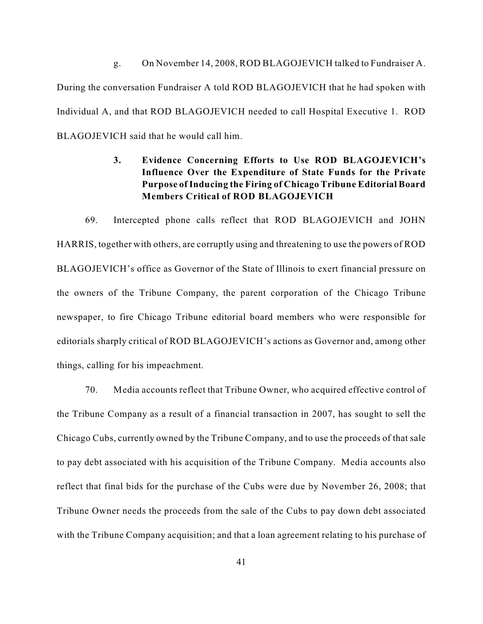g. On November 14, 2008, ROD BLAGOJEVICH talked to Fundraiser A. During the conversation Fundraiser A told ROD BLAGOJEVICH that he had spoken with Individual A, and that ROD BLAGOJEVICH needed to call Hospital Executive 1. ROD BLAGOJEVICH said that he would call him.

## **3. Evidence Concerning Efforts to Use ROD BLAGOJEVICH's Influence Over the Expenditure of State Funds for the Private Purpose of Inducing the Firing of Chicago Tribune Editorial Board Members Critical of ROD BLAGOJEVICH**

69. Intercepted phone calls reflect that ROD BLAGOJEVICH and JOHN HARRIS, together with others, are corruptly using and threatening to use the powers of ROD BLAGOJEVICH's office as Governor of the State of Illinois to exert financial pressure on the owners of the Tribune Company, the parent corporation of the Chicago Tribune newspaper, to fire Chicago Tribune editorial board members who were responsible for editorials sharply critical of ROD BLAGOJEVICH's actions as Governor and, among other things, calling for his impeachment.

70. Media accounts reflect that Tribune Owner, who acquired effective control of the Tribune Company as a result of a financial transaction in 2007, has sought to sell the Chicago Cubs, currently owned by the Tribune Company, and to use the proceeds of that sale to pay debt associated with his acquisition of the Tribune Company. Media accounts also reflect that final bids for the purchase of the Cubs were due by November 26, 2008; that Tribune Owner needs the proceeds from the sale of the Cubs to pay down debt associated with the Tribune Company acquisition; and that a loan agreement relating to his purchase of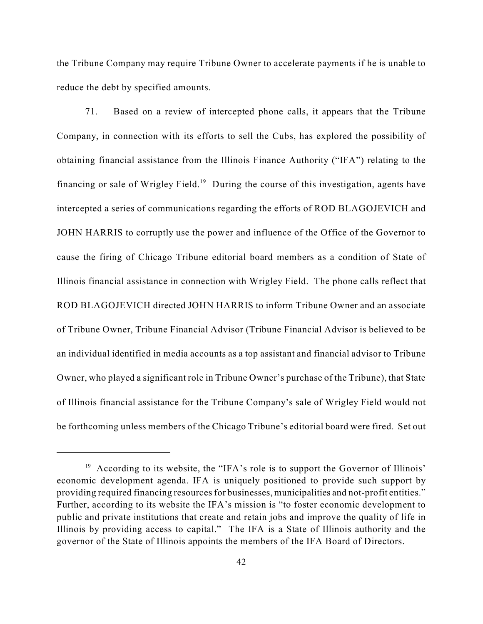the Tribune Company may require Tribune Owner to accelerate payments if he is unable to reduce the debt by specified amounts.

71. Based on a review of intercepted phone calls, it appears that the Tribune Company, in connection with its efforts to sell the Cubs, has explored the possibility of obtaining financial assistance from the Illinois Finance Authority ("IFA") relating to the financing or sale of Wrigley Field.<sup>19</sup> During the course of this investigation, agents have intercepted a series of communications regarding the efforts of ROD BLAGOJEVICH and JOHN HARRIS to corruptly use the power and influence of the Office of the Governor to cause the firing of Chicago Tribune editorial board members as a condition of State of Illinois financial assistance in connection with Wrigley Field. The phone calls reflect that ROD BLAGOJEVICH directed JOHN HARRIS to inform Tribune Owner and an associate of Tribune Owner, Tribune Financial Advisor (Tribune Financial Advisor is believed to be an individual identified in media accounts as a top assistant and financial advisor to Tribune Owner, who played a significant role in Tribune Owner's purchase of the Tribune), that State of Illinois financial assistance for the Tribune Company's sale of Wrigley Field would not be forthcoming unless members of the Chicago Tribune's editorial board were fired. Set out

 $19$  According to its website, the "IFA's role is to support the Governor of Illinois' economic development agenda. IFA is uniquely positioned to provide such support by providing required financing resources for businesses, municipalities and not-profit entities." Further, according to its website the IFA's mission is "to foster economic development to public and private institutions that create and retain jobs and improve the quality of life in Illinois by providing access to capital." The IFA is a State of Illinois authority and the governor of the State of Illinois appoints the members of the IFA Board of Directors.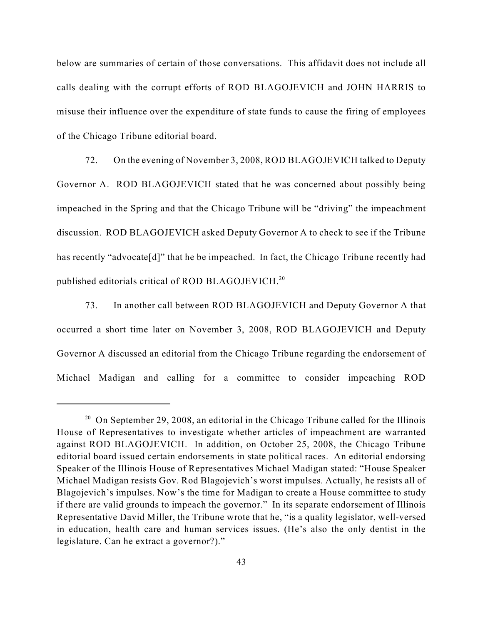below are summaries of certain of those conversations. This affidavit does not include all calls dealing with the corrupt efforts of ROD BLAGOJEVICH and JOHN HARRIS to misuse their influence over the expenditure of state funds to cause the firing of employees of the Chicago Tribune editorial board.

72. On the evening of November 3, 2008, ROD BLAGOJEVICH talked to Deputy Governor A. ROD BLAGOJEVICH stated that he was concerned about possibly being impeached in the Spring and that the Chicago Tribune will be "driving" the impeachment discussion. ROD BLAGOJEVICH asked Deputy Governor A to check to see if the Tribune has recently "advocate[d]" that he be impeached. In fact, the Chicago Tribune recently had published editorials critical of ROD BLAGOJEVICH. $^{20}$ 

73. In another call between ROD BLAGOJEVICH and Deputy Governor A that occurred a short time later on November 3, 2008, ROD BLAGOJEVICH and Deputy Governor A discussed an editorial from the Chicago Tribune regarding the endorsement of Michael Madigan and calling for a committee to consider impeaching ROD

 $20$  On September 29, 2008, an editorial in the Chicago Tribune called for the Illinois House of Representatives to investigate whether articles of impeachment are warranted against ROD BLAGOJEVICH. In addition, on October 25, 2008, the Chicago Tribune editorial board issued certain endorsements in state political races. An editorial endorsing Speaker of the Illinois House of Representatives Michael Madigan stated: "House Speaker Michael Madigan resists Gov. Rod Blagojevich's worst impulses. Actually, he resists all of Blagojevich's impulses. Now's the time for Madigan to create a House committee to study if there are valid grounds to impeach the governor." In its separate endorsement of Illinois Representative David Miller, the Tribune wrote that he, "is a quality legislator, well-versed in education, health care and human services issues. (He's also the only dentist in the legislature. Can he extract a governor?)."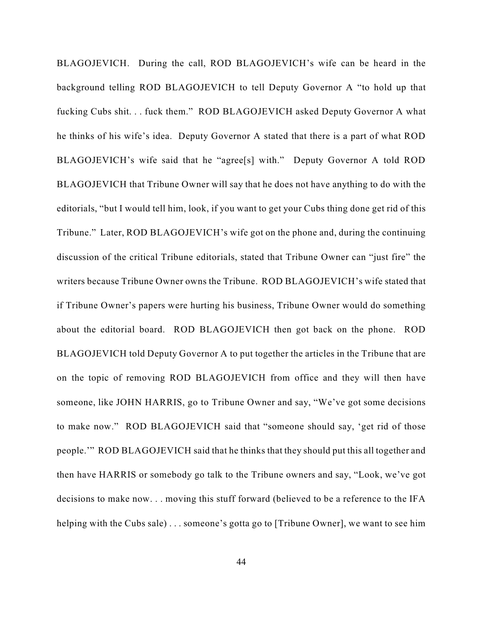BLAGOJEVICH. During the call, ROD BLAGOJEVICH's wife can be heard in the background telling ROD BLAGOJEVICH to tell Deputy Governor A "to hold up that fucking Cubs shit. . . fuck them." ROD BLAGOJEVICH asked Deputy Governor A what he thinks of his wife's idea. Deputy Governor A stated that there is a part of what ROD BLAGOJEVICH's wife said that he "agree[s] with." Deputy Governor A told ROD BLAGOJEVICH that Tribune Owner will say that he does not have anything to do with the editorials, "but I would tell him, look, if you want to get your Cubs thing done get rid of this Tribune." Later, ROD BLAGOJEVICH's wife got on the phone and, during the continuing discussion of the critical Tribune editorials, stated that Tribune Owner can "just fire" the writers because Tribune Owner owns the Tribune. ROD BLAGOJEVICH's wife stated that if Tribune Owner's papers were hurting his business, Tribune Owner would do something about the editorial board. ROD BLAGOJEVICH then got back on the phone. ROD BLAGOJEVICH told Deputy Governor A to put together the articles in the Tribune that are on the topic of removing ROD BLAGOJEVICH from office and they will then have someone, like JOHN HARRIS, go to Tribune Owner and say, "We've got some decisions to make now." ROD BLAGOJEVICH said that "someone should say, 'get rid of those people.'" ROD BLAGOJEVICH said that he thinks that they should put this all together and then have HARRIS or somebody go talk to the Tribune owners and say, "Look, we've got decisions to make now. . . moving this stuff forward (believed to be a reference to the IFA helping with the Cubs sale) . . . someone's gotta go to [Tribune Owner], we want to see him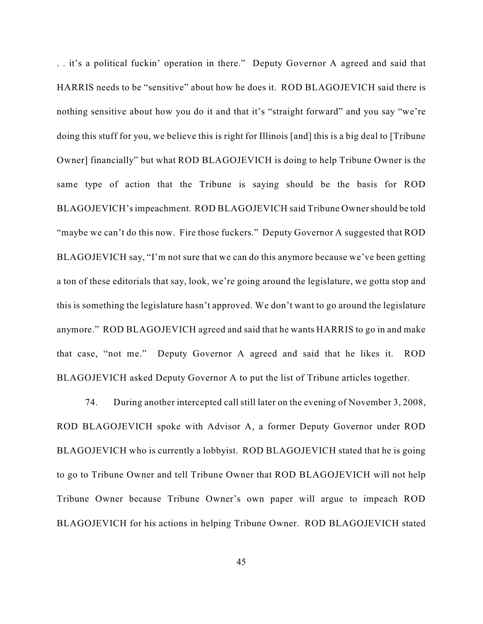. . it's a political fuckin' operation in there." Deputy Governor A agreed and said that HARRIS needs to be "sensitive" about how he does it. ROD BLAGOJEVICH said there is nothing sensitive about how you do it and that it's "straight forward" and you say "we're doing this stuff for you, we believe this is right for Illinois [and] this is a big deal to [Tribune Owner] financially" but what ROD BLAGOJEVICH is doing to help Tribune Owner is the same type of action that the Tribune is saying should be the basis for ROD BLAGOJEVICH's impeachment. ROD BLAGOJEVICH said Tribune Owner should be told "maybe we can't do this now. Fire those fuckers." Deputy Governor A suggested that ROD BLAGOJEVICH say, "I'm not sure that we can do this anymore because we've been getting a ton of these editorials that say, look, we're going around the legislature, we gotta stop and this is something the legislature hasn't approved. We don't want to go around the legislature anymore." ROD BLAGOJEVICH agreed and said that he wants HARRIS to go in and make that case, "not me." Deputy Governor A agreed and said that he likes it. ROD BLAGOJEVICH asked Deputy Governor A to put the list of Tribune articles together.

74. During another intercepted call still later on the evening of November 3, 2008, ROD BLAGOJEVICH spoke with Advisor A, a former Deputy Governor under ROD BLAGOJEVICH who is currently a lobbyist. ROD BLAGOJEVICH stated that he is going to go to Tribune Owner and tell Tribune Owner that ROD BLAGOJEVICH will not help Tribune Owner because Tribune Owner's own paper will argue to impeach ROD BLAGOJEVICH for his actions in helping Tribune Owner. ROD BLAGOJEVICH stated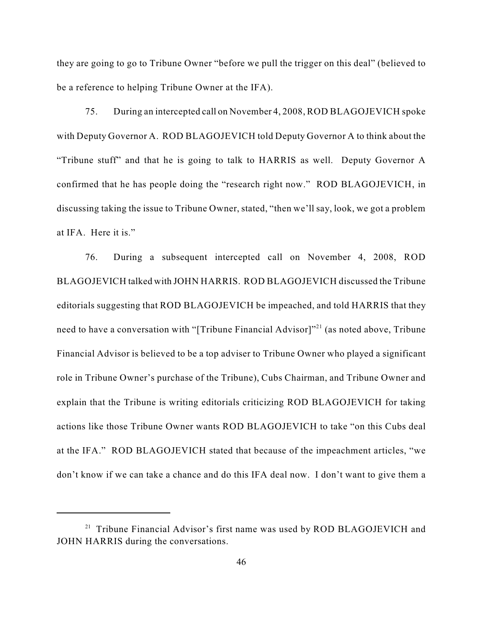they are going to go to Tribune Owner "before we pull the trigger on this deal" (believed to be a reference to helping Tribune Owner at the IFA).

75. During an intercepted call on November 4, 2008, ROD BLAGOJEVICH spoke with Deputy Governor A. ROD BLAGOJEVICH told Deputy Governor A to think about the "Tribune stuff" and that he is going to talk to HARRIS as well. Deputy Governor A confirmed that he has people doing the "research right now." ROD BLAGOJEVICH, in discussing taking the issue to Tribune Owner, stated, "then we'll say, look, we got a problem at IFA. Here it is."

76. During a subsequent intercepted call on November 4, 2008, ROD BLAGOJEVICH talked with JOHN HARRIS. ROD BLAGOJEVICH discussed the Tribune editorials suggesting that ROD BLAGOJEVICH be impeached, and told HARRIS that they need to have a conversation with "[Tribune Financial Advisor]"<sup>21</sup> (as noted above, Tribune Financial Advisor is believed to be a top adviser to Tribune Owner who played a significant role in Tribune Owner's purchase of the Tribune), Cubs Chairman, and Tribune Owner and explain that the Tribune is writing editorials criticizing ROD BLAGOJEVICH for taking actions like those Tribune Owner wants ROD BLAGOJEVICH to take "on this Cubs deal at the IFA." ROD BLAGOJEVICH stated that because of the impeachment articles, "we don't know if we can take a chance and do this IFA deal now. I don't want to give them a

 $21$  Tribune Financial Advisor's first name was used by ROD BLAGOJEVICH and JOHN HARRIS during the conversations.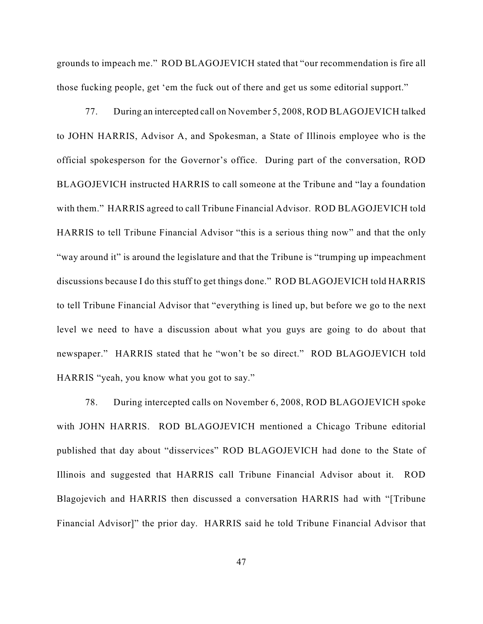grounds to impeach me." ROD BLAGOJEVICH stated that "our recommendation is fire all those fucking people, get 'em the fuck out of there and get us some editorial support."

77. During an intercepted call on November 5, 2008, ROD BLAGOJEVICH talked to JOHN HARRIS, Advisor A, and Spokesman, a State of Illinois employee who is the official spokesperson for the Governor's office. During part of the conversation, ROD BLAGOJEVICH instructed HARRIS to call someone at the Tribune and "lay a foundation with them." HARRIS agreed to call Tribune Financial Advisor. ROD BLAGOJEVICH told HARRIS to tell Tribune Financial Advisor "this is a serious thing now" and that the only "way around it" is around the legislature and that the Tribune is "trumping up impeachment discussions because I do this stuff to get things done." ROD BLAGOJEVICH told HARRIS to tell Tribune Financial Advisor that "everything is lined up, but before we go to the next level we need to have a discussion about what you guys are going to do about that newspaper." HARRIS stated that he "won't be so direct." ROD BLAGOJEVICH told HARRIS "yeah, you know what you got to say."

78. During intercepted calls on November 6, 2008, ROD BLAGOJEVICH spoke with JOHN HARRIS. ROD BLAGOJEVICH mentioned a Chicago Tribune editorial published that day about "disservices" ROD BLAGOJEVICH had done to the State of Illinois and suggested that HARRIS call Tribune Financial Advisor about it. ROD Blagojevich and HARRIS then discussed a conversation HARRIS had with "[Tribune Financial Advisor]" the prior day. HARRIS said he told Tribune Financial Advisor that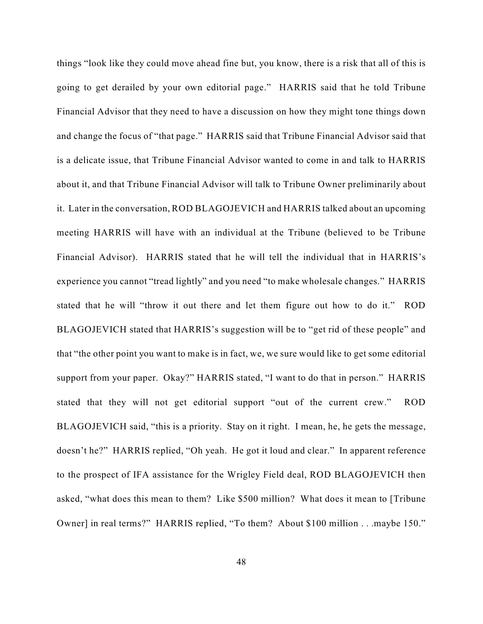things "look like they could move ahead fine but, you know, there is a risk that all of this is going to get derailed by your own editorial page." HARRIS said that he told Tribune Financial Advisor that they need to have a discussion on how they might tone things down and change the focus of "that page." HARRIS said that Tribune Financial Advisor said that is a delicate issue, that Tribune Financial Advisor wanted to come in and talk to HARRIS about it, and that Tribune Financial Advisor will talk to Tribune Owner preliminarily about it. Later in the conversation, ROD BLAGOJEVICH and HARRIS talked about an upcoming meeting HARRIS will have with an individual at the Tribune (believed to be Tribune Financial Advisor). HARRIS stated that he will tell the individual that in HARRIS's experience you cannot "tread lightly" and you need "to make wholesale changes." HARRIS stated that he will "throw it out there and let them figure out how to do it." ROD BLAGOJEVICH stated that HARRIS's suggestion will be to "get rid of these people" and that "the other point you want to make is in fact, we, we sure would like to get some editorial support from your paper. Okay?" HARRIS stated, "I want to do that in person." HARRIS stated that they will not get editorial support "out of the current crew." ROD BLAGOJEVICH said, "this is a priority. Stay on it right. I mean, he, he gets the message, doesn't he?" HARRIS replied, "Oh yeah. He got it loud and clear." In apparent reference to the prospect of IFA assistance for the Wrigley Field deal, ROD BLAGOJEVICH then asked, "what does this mean to them? Like \$500 million? What does it mean to [Tribune Owner] in real terms?" HARRIS replied, "To them? About \$100 million . . .maybe 150."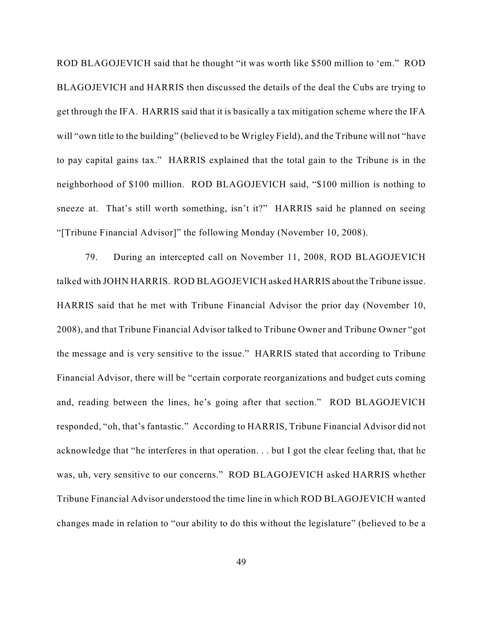ROD BLAGOJEVICH said that he thought "it was worth like \$500 million to 'em." ROD BLAGOJEVICH and HARRIS then discussed the details of the deal the Cubs are trying to get through the IFA. HARRIS said that it is basically a tax mitigation scheme where the IFA will "own title to the building" (believed to be Wrigley Field), and the Tribune will not "have to pay capital gains tax." HARRIS explained that the total gain to the Tribune is in the neighborhood of \$100 million. ROD BLAGOJEVICH said, "\$100 million is nothing to sneeze at. That's still worth something, isn't it?" HARRIS said he planned on seeing "[Tribune Financial Advisor]" the following Monday (November 10, 2008).

79. During an intercepted call on November 11, 2008, ROD BLAGOJEVICH talked with JOHN HARRIS. ROD BLAGOJEVICH asked HARRIS about the Tribune issue. HARRIS said that he met with Tribune Financial Advisor the prior day (November 10, 2008), and that Tribune Financial Advisor talked to Tribune Owner and Tribune Owner "got the message and is very sensitive to the issue." HARRIS stated that according to Tribune Financial Advisor, there will be "certain corporate reorganizations and budget cuts coming and, reading between the lines, he's going after that section." ROD BLAGOJEVICH responded, "oh, that's fantastic." According to HARRIS, Tribune Financial Advisor did not acknowledge that "he interferes in that operation. . . but I got the clear feeling that, that he was, uh, very sensitive to our concerns." ROD BLAGOJEVICH asked HARRIS whether Tribune Financial Advisor understood the time line in which ROD BLAGOJEVICH wanted changes made in relation to "our ability to do this without the legislature" (believed to be a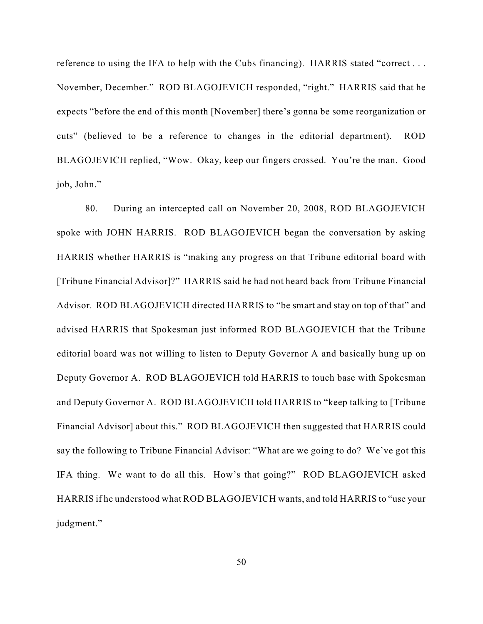reference to using the IFA to help with the Cubs financing). HARRIS stated "correct . . . November, December." ROD BLAGOJEVICH responded, "right." HARRIS said that he expects "before the end of this month [November] there's gonna be some reorganization or cuts" (believed to be a reference to changes in the editorial department). ROD BLAGOJEVICH replied, "Wow. Okay, keep our fingers crossed. You're the man. Good job, John."

80. During an intercepted call on November 20, 2008, ROD BLAGOJEVICH spoke with JOHN HARRIS. ROD BLAGOJEVICH began the conversation by asking HARRIS whether HARRIS is "making any progress on that Tribune editorial board with [Tribune Financial Advisor]?" HARRIS said he had not heard back from Tribune Financial Advisor. ROD BLAGOJEVICH directed HARRIS to "be smart and stay on top of that" and advised HARRIS that Spokesman just informed ROD BLAGOJEVICH that the Tribune editorial board was not willing to listen to Deputy Governor A and basically hung up on Deputy Governor A. ROD BLAGOJEVICH told HARRIS to touch base with Spokesman and Deputy Governor A. ROD BLAGOJEVICH told HARRIS to "keep talking to [Tribune Financial Advisor] about this." ROD BLAGOJEVICH then suggested that HARRIS could say the following to Tribune Financial Advisor: "What are we going to do? We've got this IFA thing. We want to do all this. How's that going?" ROD BLAGOJEVICH asked HARRIS if he understood what ROD BLAGOJEVICH wants, and told HARRIS to "use your judgment."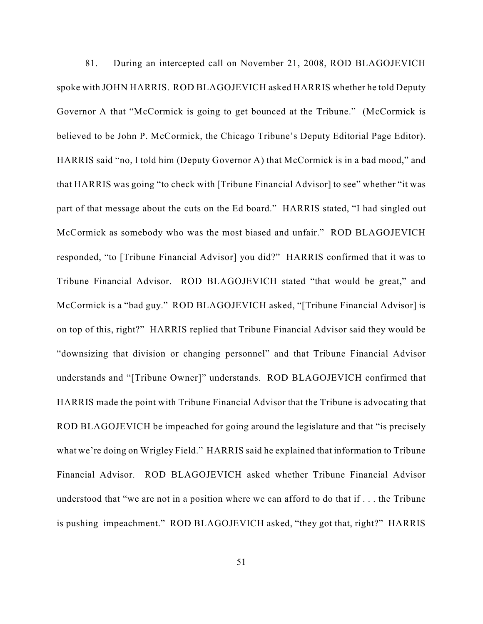81. During an intercepted call on November 21, 2008, ROD BLAGOJEVICH spoke with JOHN HARRIS. ROD BLAGOJEVICH asked HARRIS whether he told Deputy Governor A that "McCormick is going to get bounced at the Tribune." (McCormick is believed to be John P. McCormick, the Chicago Tribune's Deputy Editorial Page Editor). HARRIS said "no, I told him (Deputy Governor A) that McCormick is in a bad mood," and that HARRIS was going "to check with [Tribune Financial Advisor] to see" whether "it was part of that message about the cuts on the Ed board." HARRIS stated, "I had singled out McCormick as somebody who was the most biased and unfair." ROD BLAGOJEVICH responded, "to [Tribune Financial Advisor] you did?" HARRIS confirmed that it was to Tribune Financial Advisor. ROD BLAGOJEVICH stated "that would be great," and McCormick is a "bad guy." ROD BLAGOJEVICH asked, "[Tribune Financial Advisor] is on top of this, right?" HARRIS replied that Tribune Financial Advisor said they would be "downsizing that division or changing personnel" and that Tribune Financial Advisor understands and "[Tribune Owner]" understands. ROD BLAGOJEVICH confirmed that HARRIS made the point with Tribune Financial Advisor that the Tribune is advocating that ROD BLAGOJEVICH be impeached for going around the legislature and that "is precisely what we're doing on Wrigley Field." HARRIS said he explained that information to Tribune Financial Advisor. ROD BLAGOJEVICH asked whether Tribune Financial Advisor understood that "we are not in a position where we can afford to do that if . . . the Tribune is pushing impeachment." ROD BLAGOJEVICH asked, "they got that, right?" HARRIS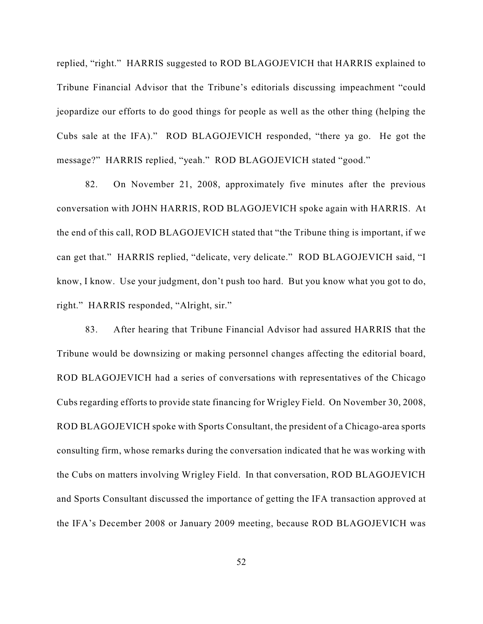replied, "right." HARRIS suggested to ROD BLAGOJEVICH that HARRIS explained to Tribune Financial Advisor that the Tribune's editorials discussing impeachment "could jeopardize our efforts to do good things for people as well as the other thing (helping the Cubs sale at the IFA)." ROD BLAGOJEVICH responded, "there ya go. He got the message?" HARRIS replied, "yeah." ROD BLAGOJEVICH stated "good."

82. On November 21, 2008, approximately five minutes after the previous conversation with JOHN HARRIS, ROD BLAGOJEVICH spoke again with HARRIS. At the end of this call, ROD BLAGOJEVICH stated that "the Tribune thing is important, if we can get that." HARRIS replied, "delicate, very delicate." ROD BLAGOJEVICH said, "I know, I know. Use your judgment, don't push too hard. But you know what you got to do, right." HARRIS responded, "Alright, sir."

83. After hearing that Tribune Financial Advisor had assured HARRIS that the Tribune would be downsizing or making personnel changes affecting the editorial board, ROD BLAGOJEVICH had a series of conversations with representatives of the Chicago Cubs regarding efforts to provide state financing for Wrigley Field. On November 30, 2008, ROD BLAGOJEVICH spoke with Sports Consultant, the president of a Chicago-area sports consulting firm, whose remarks during the conversation indicated that he was working with the Cubs on matters involving Wrigley Field. In that conversation, ROD BLAGOJEVICH and Sports Consultant discussed the importance of getting the IFA transaction approved at the IFA's December 2008 or January 2009 meeting, because ROD BLAGOJEVICH was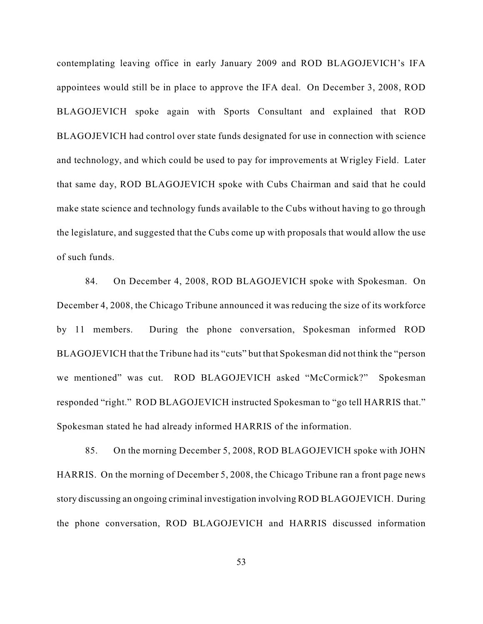contemplating leaving office in early January 2009 and ROD BLAGOJEVICH's IFA appointees would still be in place to approve the IFA deal. On December 3, 2008, ROD BLAGOJEVICH spoke again with Sports Consultant and explained that ROD BLAGOJEVICH had control over state funds designated for use in connection with science and technology, and which could be used to pay for improvements at Wrigley Field. Later that same day, ROD BLAGOJEVICH spoke with Cubs Chairman and said that he could make state science and technology funds available to the Cubs without having to go through the legislature, and suggested that the Cubs come up with proposals that would allow the use of such funds.

84. On December 4, 2008, ROD BLAGOJEVICH spoke with Spokesman. On December 4, 2008, the Chicago Tribune announced it was reducing the size of its workforce by 11 members. During the phone conversation, Spokesman informed ROD BLAGOJEVICH that the Tribune had its "cuts" but that Spokesman did not think the "person we mentioned" was cut. ROD BLAGOJEVICH asked "McCormick?" Spokesman responded "right." ROD BLAGOJEVICH instructed Spokesman to "go tell HARRIS that." Spokesman stated he had already informed HARRIS of the information.

85. On the morning December 5, 2008, ROD BLAGOJEVICH spoke with JOHN HARRIS. On the morning of December 5, 2008, the Chicago Tribune ran a front page news story discussing an ongoing criminal investigation involving ROD BLAGOJEVICH. During the phone conversation, ROD BLAGOJEVICH and HARRIS discussed information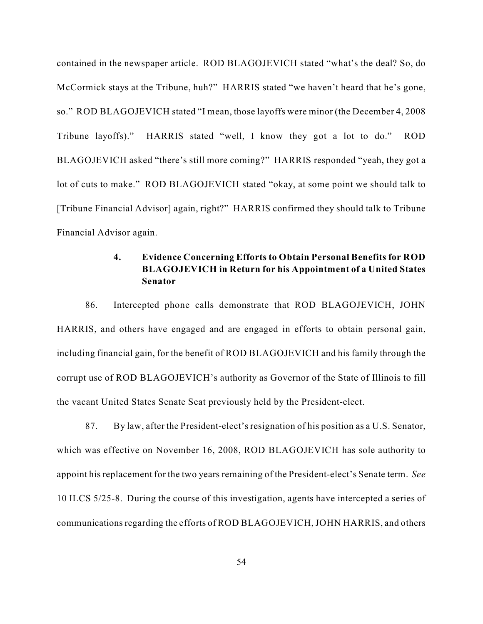contained in the newspaper article. ROD BLAGOJEVICH stated "what's the deal? So, do McCormick stays at the Tribune, huh?" HARRIS stated "we haven't heard that he's gone, so." ROD BLAGOJEVICH stated "I mean, those layoffs were minor (the December 4, 2008 Tribune layoffs)." HARRIS stated "well, I know they got a lot to do." ROD BLAGOJEVICH asked "there's still more coming?" HARRIS responded "yeah, they got a lot of cuts to make." ROD BLAGOJEVICH stated "okay, at some point we should talk to [Tribune Financial Advisor] again, right?" HARRIS confirmed they should talk to Tribune Financial Advisor again.

## **4. Evidence Concerning Efforts to Obtain Personal Benefits for ROD BLAGOJEVICH in Return for his Appointment of a United States Senator**

86. Intercepted phone calls demonstrate that ROD BLAGOJEVICH, JOHN HARRIS, and others have engaged and are engaged in efforts to obtain personal gain, including financial gain, for the benefit of ROD BLAGOJEVICH and his family through the corrupt use of ROD BLAGOJEVICH's authority as Governor of the State of Illinois to fill the vacant United States Senate Seat previously held by the President-elect.

87. By law, after the President-elect's resignation of his position as a U.S. Senator, which was effective on November 16, 2008, ROD BLAGOJEVICH has sole authority to appoint his replacement for the two years remaining of the President-elect's Senate term. *See* 10 ILCS 5/25-8. During the course of this investigation, agents have intercepted a series of communications regarding the efforts of ROD BLAGOJEVICH, JOHN HARRIS, and others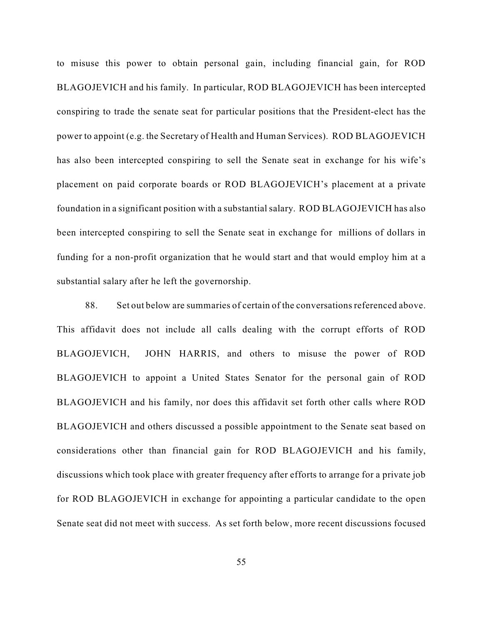to misuse this power to obtain personal gain, including financial gain, for ROD BLAGOJEVICH and his family. In particular, ROD BLAGOJEVICH has been intercepted conspiring to trade the senate seat for particular positions that the President-elect has the power to appoint (e.g. the Secretary of Health and Human Services). ROD BLAGOJEVICH has also been intercepted conspiring to sell the Senate seat in exchange for his wife's placement on paid corporate boards or ROD BLAGOJEVICH's placement at a private foundation in a significant position with a substantial salary. ROD BLAGOJEVICH has also been intercepted conspiring to sell the Senate seat in exchange for millions of dollars in funding for a non-profit organization that he would start and that would employ him at a substantial salary after he left the governorship.

88. Set out below are summaries of certain of the conversations referenced above. This affidavit does not include all calls dealing with the corrupt efforts of ROD BLAGOJEVICH, JOHN HARRIS, and others to misuse the power of ROD BLAGOJEVICH to appoint a United States Senator for the personal gain of ROD BLAGOJEVICH and his family, nor does this affidavit set forth other calls where ROD BLAGOJEVICH and others discussed a possible appointment to the Senate seat based on considerations other than financial gain for ROD BLAGOJEVICH and his family, discussions which took place with greater frequency after efforts to arrange for a private job for ROD BLAGOJEVICH in exchange for appointing a particular candidate to the open Senate seat did not meet with success. As set forth below, more recent discussions focused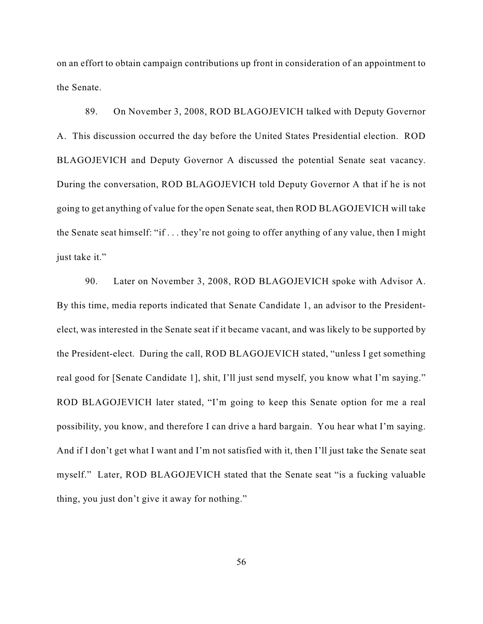on an effort to obtain campaign contributions up front in consideration of an appointment to the Senate.

89. On November 3, 2008, ROD BLAGOJEVICH talked with Deputy Governor A. This discussion occurred the day before the United States Presidential election. ROD BLAGOJEVICH and Deputy Governor A discussed the potential Senate seat vacancy. During the conversation, ROD BLAGOJEVICH told Deputy Governor A that if he is not going to get anything of value for the open Senate seat, then ROD BLAGOJEVICH will take the Senate seat himself: "if . . . they're not going to offer anything of any value, then I might just take it."

90. Later on November 3, 2008, ROD BLAGOJEVICH spoke with Advisor A. By this time, media reports indicated that Senate Candidate 1, an advisor to the Presidentelect, was interested in the Senate seat if it became vacant, and was likely to be supported by the President-elect. During the call, ROD BLAGOJEVICH stated, "unless I get something real good for [Senate Candidate 1], shit, I'll just send myself, you know what I'm saying." ROD BLAGOJEVICH later stated, "I'm going to keep this Senate option for me a real possibility, you know, and therefore I can drive a hard bargain. You hear what I'm saying. And if I don't get what I want and I'm not satisfied with it, then I'll just take the Senate seat myself." Later, ROD BLAGOJEVICH stated that the Senate seat "is a fucking valuable thing, you just don't give it away for nothing."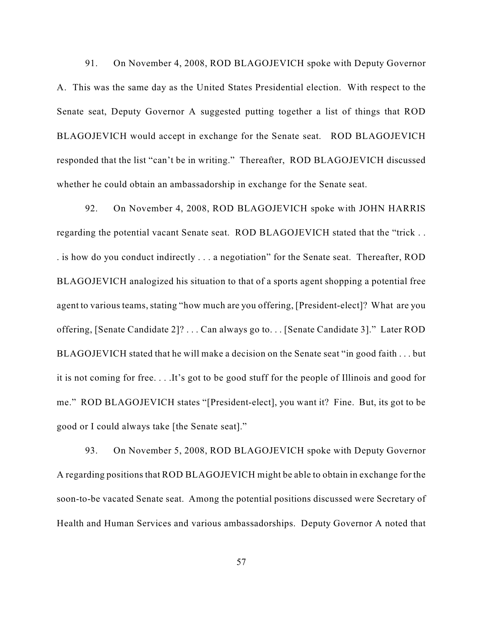91. On November 4, 2008, ROD BLAGOJEVICH spoke with Deputy Governor A. This was the same day as the United States Presidential election. With respect to the Senate seat, Deputy Governor A suggested putting together a list of things that ROD BLAGOJEVICH would accept in exchange for the Senate seat. ROD BLAGOJEVICH responded that the list "can't be in writing." Thereafter, ROD BLAGOJEVICH discussed whether he could obtain an ambassadorship in exchange for the Senate seat.

92. On November 4, 2008, ROD BLAGOJEVICH spoke with JOHN HARRIS regarding the potential vacant Senate seat. ROD BLAGOJEVICH stated that the "trick . . . is how do you conduct indirectly . . . a negotiation" for the Senate seat. Thereafter, ROD BLAGOJEVICH analogized his situation to that of a sports agent shopping a potential free agent to various teams, stating "how much are you offering, [President-elect]? What are you offering, [Senate Candidate 2]? . . . Can always go to. . . [Senate Candidate 3]." Later ROD BLAGOJEVICH stated that he will make a decision on the Senate seat "in good faith . . . but it is not coming for free. . . .It's got to be good stuff for the people of Illinois and good for me." ROD BLAGOJEVICH states "[President-elect], you want it? Fine. But, its got to be good or I could always take [the Senate seat]."

93. On November 5, 2008, ROD BLAGOJEVICH spoke with Deputy Governor A regarding positions that ROD BLAGOJEVICH might be able to obtain in exchange for the soon-to-be vacated Senate seat. Among the potential positions discussed were Secretary of Health and Human Services and various ambassadorships. Deputy Governor A noted that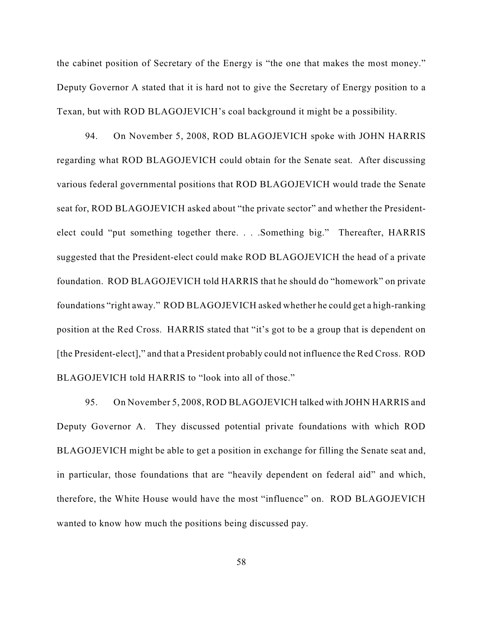the cabinet position of Secretary of the Energy is "the one that makes the most money." Deputy Governor A stated that it is hard not to give the Secretary of Energy position to a Texan, but with ROD BLAGOJEVICH's coal background it might be a possibility.

94. On November 5, 2008, ROD BLAGOJEVICH spoke with JOHN HARRIS regarding what ROD BLAGOJEVICH could obtain for the Senate seat. After discussing various federal governmental positions that ROD BLAGOJEVICH would trade the Senate seat for, ROD BLAGOJEVICH asked about "the private sector" and whether the Presidentelect could "put something together there. . . .Something big." Thereafter, HARRIS suggested that the President-elect could make ROD BLAGOJEVICH the head of a private foundation. ROD BLAGOJEVICH told HARRIS that he should do "homework" on private foundations "right away." ROD BLAGOJEVICH asked whether he could get a high-ranking position at the Red Cross. HARRIS stated that "it's got to be a group that is dependent on [the President-elect]," and that a President probably could not influence the Red Cross. ROD BLAGOJEVICH told HARRIS to "look into all of those."

95. On November 5, 2008, ROD BLAGOJEVICH talked with JOHN HARRIS and Deputy Governor A. They discussed potential private foundations with which ROD BLAGOJEVICH might be able to get a position in exchange for filling the Senate seat and, in particular, those foundations that are "heavily dependent on federal aid" and which, therefore, the White House would have the most "influence" on. ROD BLAGOJEVICH wanted to know how much the positions being discussed pay.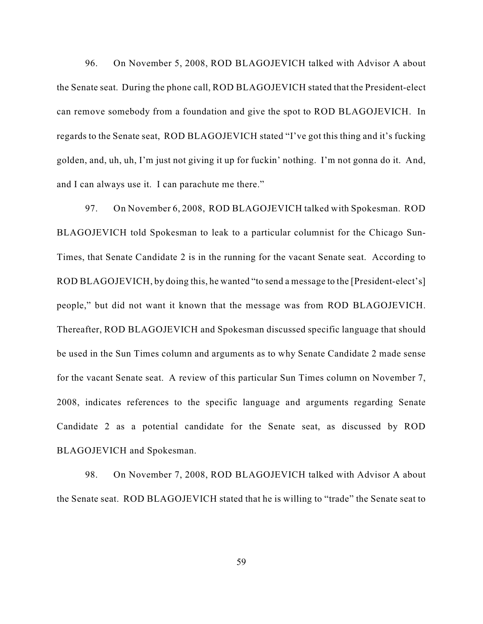96. On November 5, 2008, ROD BLAGOJEVICH talked with Advisor A about the Senate seat. During the phone call, ROD BLAGOJEVICH stated that the President-elect can remove somebody from a foundation and give the spot to ROD BLAGOJEVICH. In regards to the Senate seat, ROD BLAGOJEVICH stated "I've got this thing and it's fucking golden, and, uh, uh, I'm just not giving it up for fuckin' nothing. I'm not gonna do it. And, and I can always use it. I can parachute me there."

97. On November 6, 2008, ROD BLAGOJEVICH talked with Spokesman. ROD BLAGOJEVICH told Spokesman to leak to a particular columnist for the Chicago Sun-Times, that Senate Candidate 2 is in the running for the vacant Senate seat. According to ROD BLAGOJEVICH, by doing this, he wanted "to send a message to the [President-elect's] people," but did not want it known that the message was from ROD BLAGOJEVICH. Thereafter, ROD BLAGOJEVICH and Spokesman discussed specific language that should be used in the Sun Times column and arguments as to why Senate Candidate 2 made sense for the vacant Senate seat. A review of this particular Sun Times column on November 7, 2008, indicates references to the specific language and arguments regarding Senate Candidate 2 as a potential candidate for the Senate seat, as discussed by ROD BLAGOJEVICH and Spokesman.

98. On November 7, 2008, ROD BLAGOJEVICH talked with Advisor A about the Senate seat. ROD BLAGOJEVICH stated that he is willing to "trade" the Senate seat to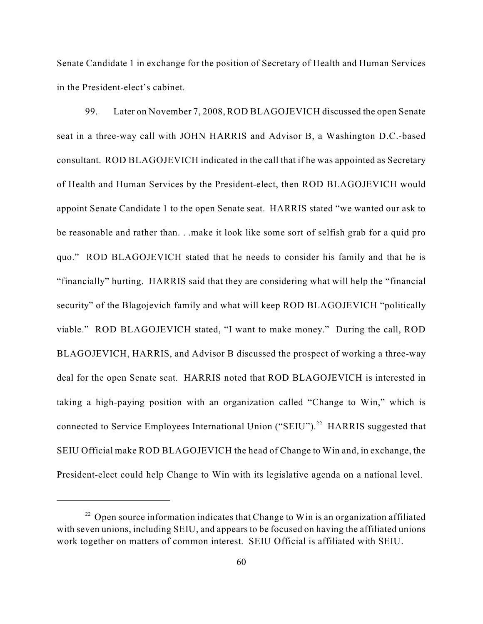Senate Candidate 1 in exchange for the position of Secretary of Health and Human Services in the President-elect's cabinet.

99. Later on November 7, 2008, ROD BLAGOJEVICH discussed the open Senate seat in a three-way call with JOHN HARRIS and Advisor B, a Washington D.C.-based consultant. ROD BLAGOJEVICH indicated in the call that if he was appointed as Secretary of Health and Human Services by the President-elect, then ROD BLAGOJEVICH would appoint Senate Candidate 1 to the open Senate seat. HARRIS stated "we wanted our ask to be reasonable and rather than. . .make it look like some sort of selfish grab for a quid pro quo." ROD BLAGOJEVICH stated that he needs to consider his family and that he is "financially" hurting. HARRIS said that they are considering what will help the "financial security" of the Blagojevich family and what will keep ROD BLAGOJEVICH "politically viable." ROD BLAGOJEVICH stated, "I want to make money." During the call, ROD BLAGOJEVICH, HARRIS, and Advisor B discussed the prospect of working a three-way deal for the open Senate seat. HARRIS noted that ROD BLAGOJEVICH is interested in taking a high-paying position with an organization called "Change to Win," which is connected to Service Employees International Union ("SEIU").<sup>22</sup> HARRIS suggested that SEIU Official make ROD BLAGOJEVICH the head of Change to Win and, in exchange, the President-elect could help Change to Win with its legislative agenda on a national level.

 $22$  Open source information indicates that Change to Win is an organization affiliated with seven unions, including SEIU, and appears to be focused on having the affiliated unions work together on matters of common interest. SEIU Official is affiliated with SEIU.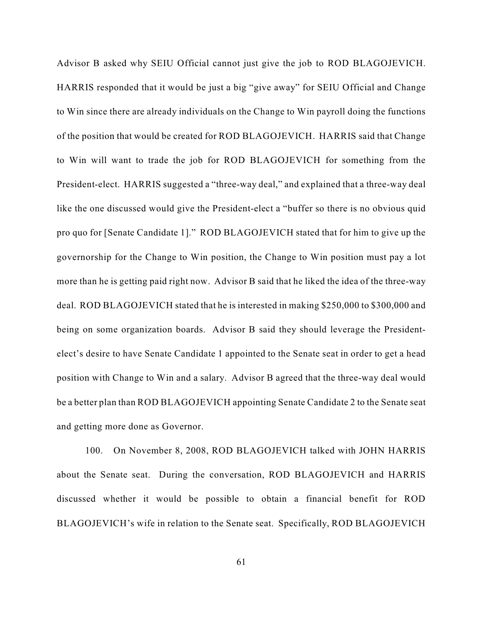Advisor B asked why SEIU Official cannot just give the job to ROD BLAGOJEVICH. HARRIS responded that it would be just a big "give away" for SEIU Official and Change to Win since there are already individuals on the Change to Win payroll doing the functions of the position that would be created for ROD BLAGOJEVICH. HARRIS said that Change to Win will want to trade the job for ROD BLAGOJEVICH for something from the President-elect. HARRIS suggested a "three-way deal," and explained that a three-way deal like the one discussed would give the President-elect a "buffer so there is no obvious quid pro quo for [Senate Candidate 1]." ROD BLAGOJEVICH stated that for him to give up the governorship for the Change to Win position, the Change to Win position must pay a lot more than he is getting paid right now. Advisor B said that he liked the idea of the three-way deal. ROD BLAGOJEVICH stated that he is interested in making \$250,000 to \$300,000 and being on some organization boards. Advisor B said they should leverage the Presidentelect's desire to have Senate Candidate 1 appointed to the Senate seat in order to get a head position with Change to Win and a salary. Advisor B agreed that the three-way deal would be a better plan than ROD BLAGOJEVICH appointing Senate Candidate 2 to the Senate seat and getting more done as Governor.

100. On November 8, 2008, ROD BLAGOJEVICH talked with JOHN HARRIS about the Senate seat. During the conversation, ROD BLAGOJEVICH and HARRIS discussed whether it would be possible to obtain a financial benefit for ROD BLAGOJEVICH's wife in relation to the Senate seat. Specifically, ROD BLAGOJEVICH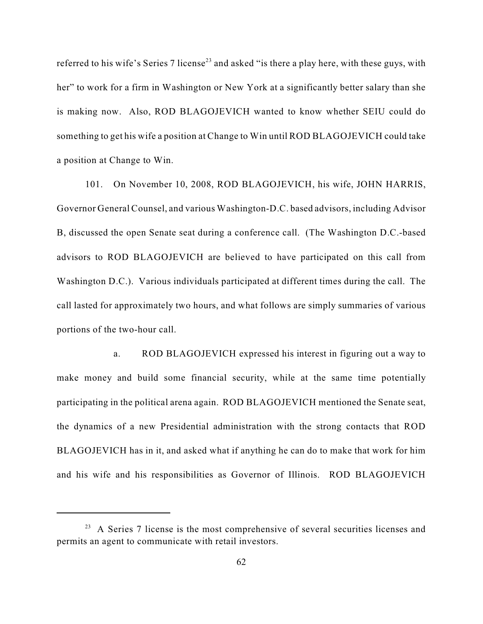referred to his wife's Series 7 license<sup>23</sup> and asked "is there a play here, with these guys, with her" to work for a firm in Washington or New York at a significantly better salary than she is making now. Also, ROD BLAGOJEVICH wanted to know whether SEIU could do something to get his wife a position at Change to Win until ROD BLAGOJEVICH could take a position at Change to Win.

101. On November 10, 2008, ROD BLAGOJEVICH, his wife, JOHN HARRIS, Governor General Counsel, and various Washington-D.C. based advisors, including Advisor B, discussed the open Senate seat during a conference call. (The Washington D.C.-based advisors to ROD BLAGOJEVICH are believed to have participated on this call from Washington D.C.). Various individuals participated at different times during the call. The call lasted for approximately two hours, and what follows are simply summaries of various portions of the two-hour call.

a. ROD BLAGOJEVICH expressed his interest in figuring out a way to make money and build some financial security, while at the same time potentially participating in the political arena again. ROD BLAGOJEVICH mentioned the Senate seat, the dynamics of a new Presidential administration with the strong contacts that ROD BLAGOJEVICH has in it, and asked what if anything he can do to make that work for him and his wife and his responsibilities as Governor of Illinois. ROD BLAGOJEVICH

 $23$  A Series 7 license is the most comprehensive of several securities licenses and permits an agent to communicate with retail investors.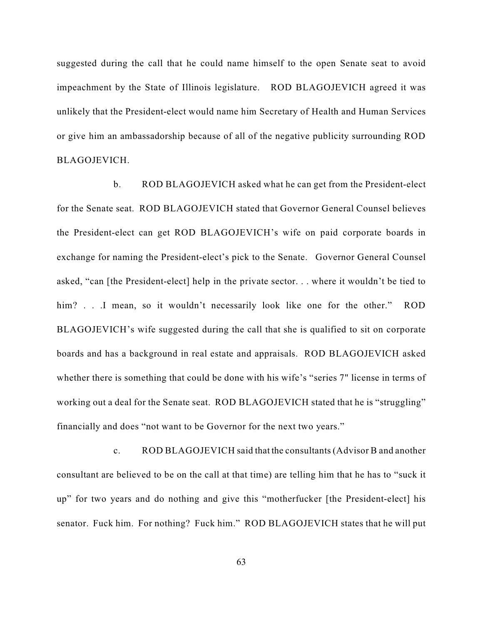suggested during the call that he could name himself to the open Senate seat to avoid impeachment by the State of Illinois legislature. ROD BLAGOJEVICH agreed it was unlikely that the President-elect would name him Secretary of Health and Human Services or give him an ambassadorship because of all of the negative publicity surrounding ROD BLAGOJEVICH.

b. ROD BLAGOJEVICH asked what he can get from the President-elect for the Senate seat. ROD BLAGOJEVICH stated that Governor General Counsel believes the President-elect can get ROD BLAGOJEVICH's wife on paid corporate boards in exchange for naming the President-elect's pick to the Senate. Governor General Counsel asked, "can [the President-elect] help in the private sector. . . where it wouldn't be tied to him? . . .I mean, so it wouldn't necessarily look like one for the other." ROD BLAGOJEVICH's wife suggested during the call that she is qualified to sit on corporate boards and has a background in real estate and appraisals. ROD BLAGOJEVICH asked whether there is something that could be done with his wife's "series 7" license in terms of working out a deal for the Senate seat. ROD BLAGOJEVICH stated that he is "struggling" financially and does "not want to be Governor for the next two years."

c. ROD BLAGOJEVICH said that the consultants (Advisor B and another consultant are believed to be on the call at that time) are telling him that he has to "suck it up" for two years and do nothing and give this "motherfucker [the President-elect] his senator. Fuck him. For nothing? Fuck him." ROD BLAGOJEVICH states that he will put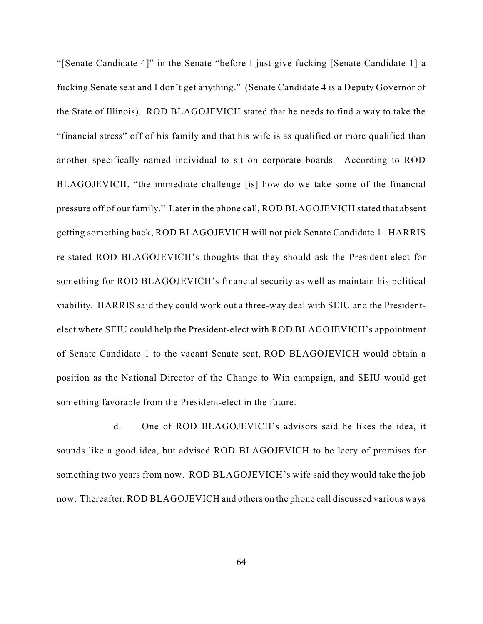"[Senate Candidate 4]" in the Senate "before I just give fucking [Senate Candidate 1] a fucking Senate seat and I don't get anything." (Senate Candidate 4 is a Deputy Governor of the State of Illinois). ROD BLAGOJEVICH stated that he needs to find a way to take the "financial stress" off of his family and that his wife is as qualified or more qualified than another specifically named individual to sit on corporate boards. According to ROD BLAGOJEVICH, "the immediate challenge [is] how do we take some of the financial pressure off of our family." Later in the phone call, ROD BLAGOJEVICH stated that absent getting something back, ROD BLAGOJEVICH will not pick Senate Candidate 1. HARRIS re-stated ROD BLAGOJEVICH's thoughts that they should ask the President-elect for something for ROD BLAGOJEVICH's financial security as well as maintain his political viability. HARRIS said they could work out a three-way deal with SEIU and the Presidentelect where SEIU could help the President-elect with ROD BLAGOJEVICH's appointment of Senate Candidate 1 to the vacant Senate seat, ROD BLAGOJEVICH would obtain a position as the National Director of the Change to Win campaign, and SEIU would get something favorable from the President-elect in the future.

d. One of ROD BLAGOJEVICH's advisors said he likes the idea, it sounds like a good idea, but advised ROD BLAGOJEVICH to be leery of promises for something two years from now. ROD BLAGOJEVICH's wife said they would take the job now. Thereafter, ROD BLAGOJEVICH and others on the phone call discussed various ways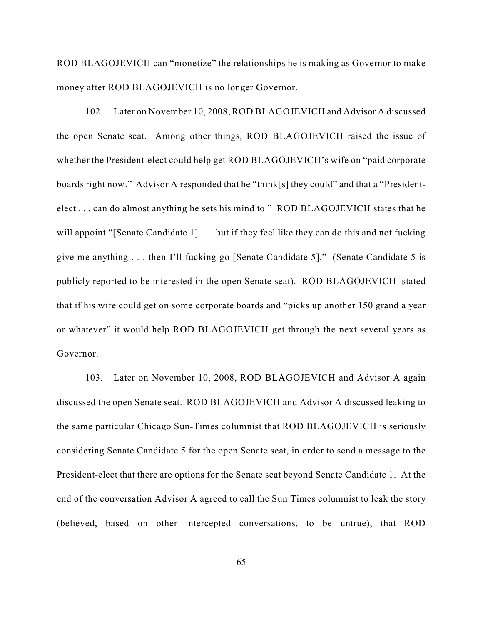ROD BLAGOJEVICH can "monetize" the relationships he is making as Governor to make money after ROD BLAGOJEVICH is no longer Governor.

102. Later on November 10, 2008, ROD BLAGOJEVICH and Advisor A discussed the open Senate seat. Among other things, ROD BLAGOJEVICH raised the issue of whether the President-elect could help get ROD BLAGOJEVICH's wife on "paid corporate boards right now." Advisor A responded that he "think[s] they could" and that a "Presidentelect . . . can do almost anything he sets his mind to." ROD BLAGOJEVICH states that he will appoint "[Senate Candidate 1] . . . but if they feel like they can do this and not fucking give me anything . . . then I'll fucking go [Senate Candidate 5]." (Senate Candidate 5 is publicly reported to be interested in the open Senate seat). ROD BLAGOJEVICH stated that if his wife could get on some corporate boards and "picks up another 150 grand a year or whatever" it would help ROD BLAGOJEVICH get through the next several years as Governor.

103. Later on November 10, 2008, ROD BLAGOJEVICH and Advisor A again discussed the open Senate seat. ROD BLAGOJEVICH and Advisor A discussed leaking to the same particular Chicago Sun-Times columnist that ROD BLAGOJEVICH is seriously considering Senate Candidate 5 for the open Senate seat, in order to send a message to the President-elect that there are options for the Senate seat beyond Senate Candidate 1. At the end of the conversation Advisor A agreed to call the Sun Times columnist to leak the story (believed, based on other intercepted conversations, to be untrue), that ROD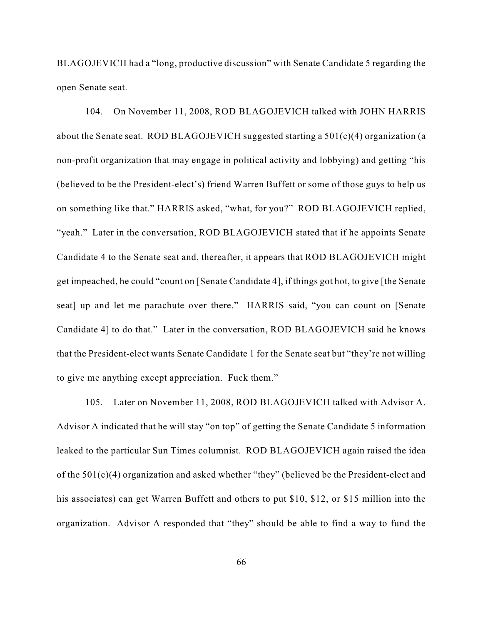BLAGOJEVICH had a "long, productive discussion" with Senate Candidate 5 regarding the open Senate seat.

104. On November 11, 2008, ROD BLAGOJEVICH talked with JOHN HARRIS about the Senate seat. ROD BLAGOJEVICH suggested starting a 501(c)(4) organization (a non-profit organization that may engage in political activity and lobbying) and getting "his (believed to be the President-elect's) friend Warren Buffett or some of those guys to help us on something like that." HARRIS asked, "what, for you?" ROD BLAGOJEVICH replied, "yeah." Later in the conversation, ROD BLAGOJEVICH stated that if he appoints Senate Candidate 4 to the Senate seat and, thereafter, it appears that ROD BLAGOJEVICH might get impeached, he could "count on [Senate Candidate 4], if things got hot, to give [the Senate seat] up and let me parachute over there." HARRIS said, "you can count on [Senate Candidate 4] to do that." Later in the conversation, ROD BLAGOJEVICH said he knows that the President-elect wants Senate Candidate 1 for the Senate seat but "they're not willing to give me anything except appreciation. Fuck them."

105. Later on November 11, 2008, ROD BLAGOJEVICH talked with Advisor A. Advisor A indicated that he will stay "on top" of getting the Senate Candidate 5 information leaked to the particular Sun Times columnist. ROD BLAGOJEVICH again raised the idea of the 501(c)(4) organization and asked whether "they" (believed be the President-elect and his associates) can get Warren Buffett and others to put \$10, \$12, or \$15 million into the organization. Advisor A responded that "they" should be able to find a way to fund the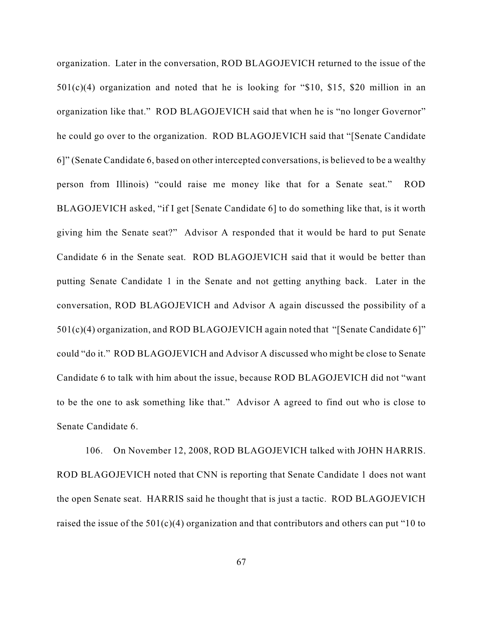organization. Later in the conversation, ROD BLAGOJEVICH returned to the issue of the 501(c)(4) organization and noted that he is looking for "\$10, \$15, \$20 million in an organization like that." ROD BLAGOJEVICH said that when he is "no longer Governor" he could go over to the organization. ROD BLAGOJEVICH said that "[Senate Candidate 6]" (Senate Candidate 6, based on other intercepted conversations, is believed to be a wealthy person from Illinois) "could raise me money like that for a Senate seat." ROD BLAGOJEVICH asked, "if I get [Senate Candidate 6] to do something like that, is it worth giving him the Senate seat?" Advisor A responded that it would be hard to put Senate Candidate 6 in the Senate seat. ROD BLAGOJEVICH said that it would be better than putting Senate Candidate 1 in the Senate and not getting anything back. Later in the conversation, ROD BLAGOJEVICH and Advisor A again discussed the possibility of a 501(c)(4) organization, and ROD BLAGOJEVICH again noted that "[Senate Candidate 6]" could "do it." ROD BLAGOJEVICH and Advisor A discussed who might be close to Senate Candidate 6 to talk with him about the issue, because ROD BLAGOJEVICH did not "want to be the one to ask something like that." Advisor A agreed to find out who is close to Senate Candidate 6.

106. On November 12, 2008, ROD BLAGOJEVICH talked with JOHN HARRIS. ROD BLAGOJEVICH noted that CNN is reporting that Senate Candidate 1 does not want the open Senate seat. HARRIS said he thought that is just a tactic. ROD BLAGOJEVICH raised the issue of the  $501(c)(4)$  organization and that contributors and others can put "10 to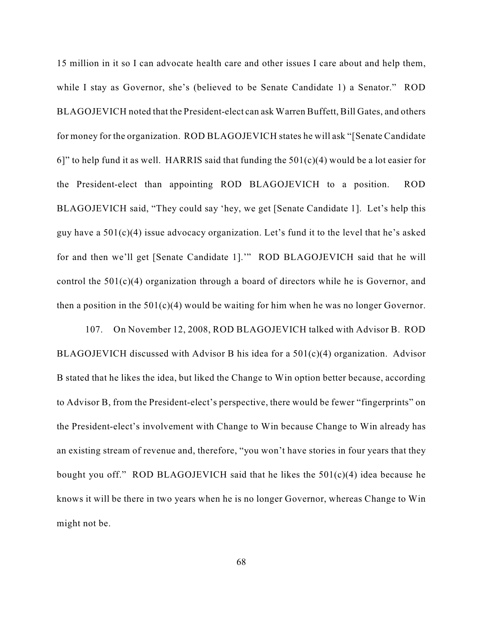15 million in it so I can advocate health care and other issues I care about and help them, while I stay as Governor, she's (believed to be Senate Candidate 1) a Senator." ROD BLAGOJEVICH noted that the President-elect can ask Warren Buffett, Bill Gates, and others for money for the organization. ROD BLAGOJEVICH states he will ask "[Senate Candidate 6]" to help fund it as well. HARRIS said that funding the  $501(c)(4)$  would be a lot easier for the President-elect than appointing ROD BLAGOJEVICH to a position. ROD BLAGOJEVICH said, "They could say 'hey, we get [Senate Candidate 1]. Let's help this guy have a 501(c)(4) issue advocacy organization. Let's fund it to the level that he's asked for and then we'll get [Senate Candidate 1].'" ROD BLAGOJEVICH said that he will control the  $501(c)(4)$  organization through a board of directors while he is Governor, and then a position in the  $501(c)(4)$  would be waiting for him when he was no longer Governor.

107. On November 12, 2008, ROD BLAGOJEVICH talked with Advisor B. ROD BLAGOJEVICH discussed with Advisor B his idea for a 501(c)(4) organization. Advisor B stated that he likes the idea, but liked the Change to Win option better because, according to Advisor B, from the President-elect's perspective, there would be fewer "fingerprints" on the President-elect's involvement with Change to Win because Change to Win already has an existing stream of revenue and, therefore, "you won't have stories in four years that they bought you off." ROD BLAGOJEVICH said that he likes the 501(c)(4) idea because he knows it will be there in two years when he is no longer Governor, whereas Change to Win might not be.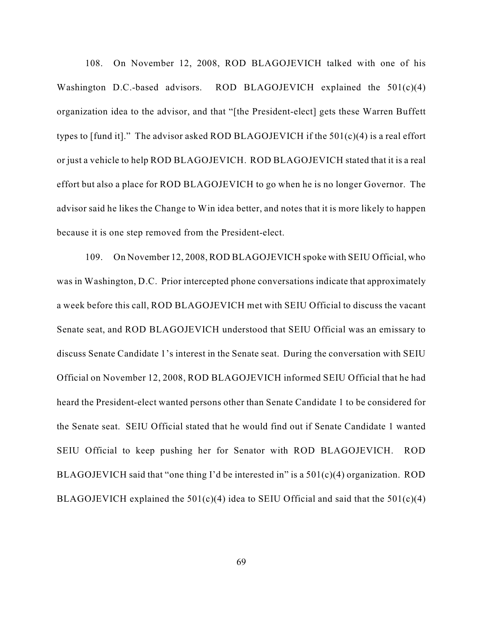108. On November 12, 2008, ROD BLAGOJEVICH talked with one of his Washington D.C.-based advisors. ROD BLAGOJEVICH explained the 501(c)(4) organization idea to the advisor, and that "[the President-elect] gets these Warren Buffett types to [fund it]." The advisor asked ROD BLAGOJEVICH if the  $501(c)(4)$  is a real effort or just a vehicle to help ROD BLAGOJEVICH. ROD BLAGOJEVICH stated that it is a real effort but also a place for ROD BLAGOJEVICH to go when he is no longer Governor. The advisor said he likes the Change to Win idea better, and notes that it is more likely to happen because it is one step removed from the President-elect.

109. On November 12, 2008, ROD BLAGOJEVICH spoke with SEIU Official, who was in Washington, D.C. Prior intercepted phone conversations indicate that approximately a week before this call, ROD BLAGOJEVICH met with SEIU Official to discuss the vacant Senate seat, and ROD BLAGOJEVICH understood that SEIU Official was an emissary to discuss Senate Candidate 1's interest in the Senate seat. During the conversation with SEIU Official on November 12, 2008, ROD BLAGOJEVICH informed SEIU Official that he had heard the President-elect wanted persons other than Senate Candidate 1 to be considered for the Senate seat. SEIU Official stated that he would find out if Senate Candidate 1 wanted SEIU Official to keep pushing her for Senator with ROD BLAGOJEVICH. ROD BLAGOJEVICH said that "one thing I'd be interested in" is a 501(c)(4) organization. ROD BLAGOJEVICH explained the  $501(c)(4)$  idea to SEIU Official and said that the  $501(c)(4)$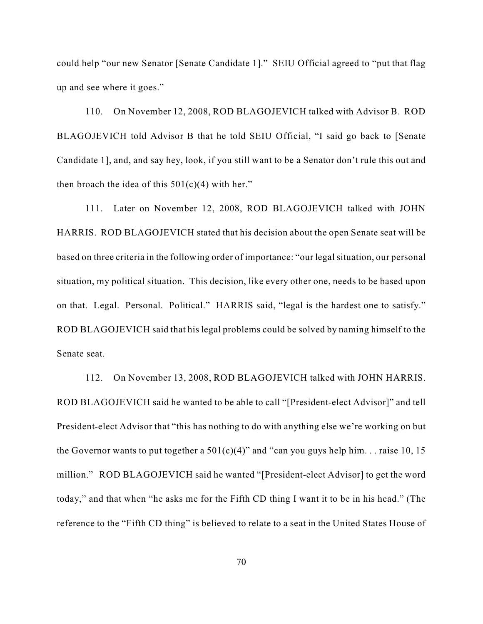could help "our new Senator [Senate Candidate 1]." SEIU Official agreed to "put that flag up and see where it goes."

110. On November 12, 2008, ROD BLAGOJEVICH talked with Advisor B. ROD BLAGOJEVICH told Advisor B that he told SEIU Official, "I said go back to [Senate Candidate 1], and, and say hey, look, if you still want to be a Senator don't rule this out and then broach the idea of this  $501(c)(4)$  with her."

111. Later on November 12, 2008, ROD BLAGOJEVICH talked with JOHN HARRIS. ROD BLAGOJEVICH stated that his decision about the open Senate seat will be based on three criteria in the following order of importance: "our legal situation, our personal situation, my political situation. This decision, like every other one, needs to be based upon on that. Legal. Personal. Political." HARRIS said, "legal is the hardest one to satisfy." ROD BLAGOJEVICH said that his legal problems could be solved by naming himself to the Senate seat.

112. On November 13, 2008, ROD BLAGOJEVICH talked with JOHN HARRIS. ROD BLAGOJEVICH said he wanted to be able to call "[President-elect Advisor]" and tell President-elect Advisor that "this has nothing to do with anything else we're working on but the Governor wants to put together a  $501(c)(4)$ " and "can you guys help him... raise 10, 15 million." ROD BLAGOJEVICH said he wanted "[President-elect Advisor] to get the word today," and that when "he asks me for the Fifth CD thing I want it to be in his head." (The reference to the "Fifth CD thing" is believed to relate to a seat in the United States House of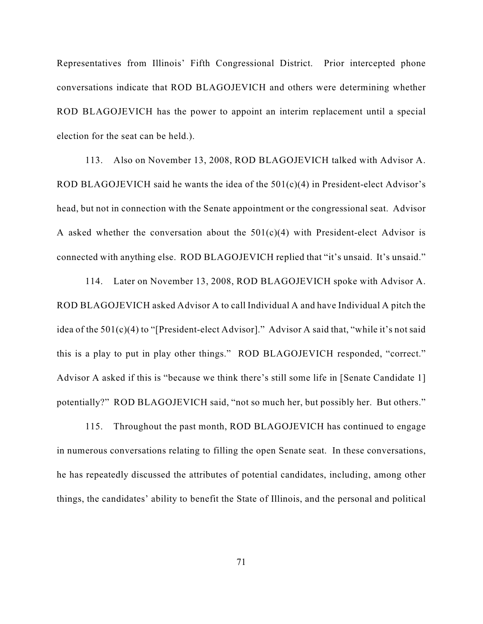Representatives from Illinois' Fifth Congressional District. Prior intercepted phone conversations indicate that ROD BLAGOJEVICH and others were determining whether ROD BLAGOJEVICH has the power to appoint an interim replacement until a special election for the seat can be held.).

113. Also on November 13, 2008, ROD BLAGOJEVICH talked with Advisor A. ROD BLAGOJEVICH said he wants the idea of the  $501(c)(4)$  in President-elect Advisor's head, but not in connection with the Senate appointment or the congressional seat. Advisor A asked whether the conversation about the  $501(c)(4)$  with President-elect Advisor is connected with anything else. ROD BLAGOJEVICH replied that "it's unsaid. It's unsaid."

114. Later on November 13, 2008, ROD BLAGOJEVICH spoke with Advisor A. ROD BLAGOJEVICH asked Advisor A to call Individual A and have Individual A pitch the idea of the 501(c)(4) to "[President-elect Advisor]." Advisor A said that, "while it's not said this is a play to put in play other things." ROD BLAGOJEVICH responded, "correct." Advisor A asked if this is "because we think there's still some life in [Senate Candidate 1] potentially?" ROD BLAGOJEVICH said, "not so much her, but possibly her. But others."

115. Throughout the past month, ROD BLAGOJEVICH has continued to engage in numerous conversations relating to filling the open Senate seat. In these conversations, he has repeatedly discussed the attributes of potential candidates, including, among other things, the candidates' ability to benefit the State of Illinois, and the personal and political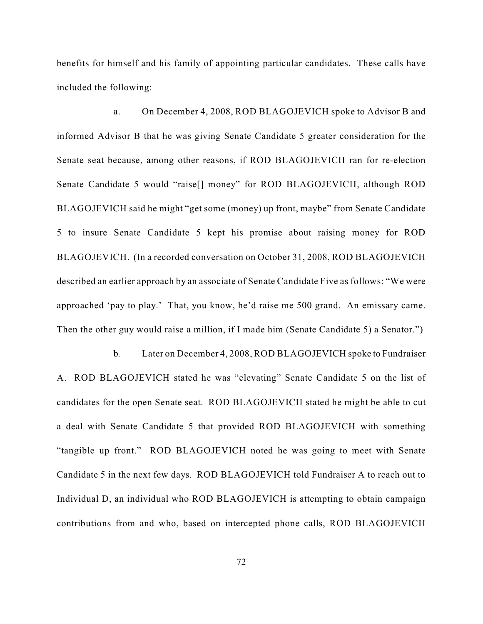benefits for himself and his family of appointing particular candidates. These calls have included the following:

a. On December 4, 2008, ROD BLAGOJEVICH spoke to Advisor B and informed Advisor B that he was giving Senate Candidate 5 greater consideration for the Senate seat because, among other reasons, if ROD BLAGOJEVICH ran for re-election Senate Candidate 5 would "raise[] money" for ROD BLAGOJEVICH, although ROD BLAGOJEVICH said he might "get some (money) up front, maybe" from Senate Candidate 5 to insure Senate Candidate 5 kept his promise about raising money for ROD BLAGOJEVICH. (In a recorded conversation on October 31, 2008, ROD BLAGOJEVICH described an earlier approach by an associate of Senate Candidate Five as follows: "We were approached 'pay to play.' That, you know, he'd raise me 500 grand. An emissary came. Then the other guy would raise a million, if I made him (Senate Candidate 5) a Senator.")

b. Later on December 4, 2008, ROD BLAGOJEVICH spoke to Fundraiser A. ROD BLAGOJEVICH stated he was "elevating" Senate Candidate 5 on the list of candidates for the open Senate seat. ROD BLAGOJEVICH stated he might be able to cut a deal with Senate Candidate 5 that provided ROD BLAGOJEVICH with something "tangible up front." ROD BLAGOJEVICH noted he was going to meet with Senate Candidate 5 in the next few days. ROD BLAGOJEVICH told Fundraiser A to reach out to Individual D, an individual who ROD BLAGOJEVICH is attempting to obtain campaign contributions from and who, based on intercepted phone calls, ROD BLAGOJEVICH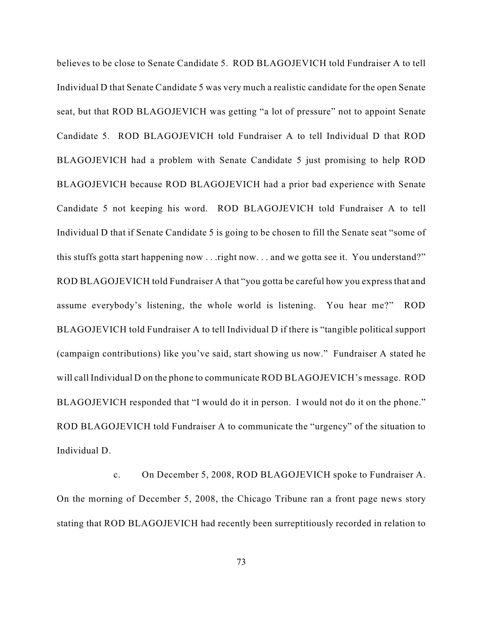believes to be close to Senate Candidate 5. ROD BLAGOJEVICH told Fundraiser A to tell Individual D that Senate Candidate 5 was very much a realistic candidate for the open Senate seat, but that ROD BLAGOJEVICH was getting "a lot of pressure" not to appoint Senate Candidate 5. ROD BLAGOJEVICH told Fundraiser A to tell Individual D that ROD BLAGOJEVICH had a problem with Senate Candidate 5 just promising to help ROD BLAGOJEVICH because ROD BLAGOJEVICH had a prior bad experience with Senate Candidate 5 not keeping his word. ROD BLAGOJEVICH told Fundraiser A to tell Individual D that if Senate Candidate 5 is going to be chosen to fill the Senate seat "some of this stuffs gotta start happening now . . . right now. . . and we gotta see it. You understand?" ROD BLAGOJEVICH told Fundraiser A that "you gotta be careful how you express that and assume everybody's listening, the whole world is listening. You hear me?" ROD BLAGOJEVICH told Fundraiser A to tell Individual D if there is "tangible political support (campaign contributions) like you've said, start showing us now." Fundraiser A stated he will call Individual D on the phone to communicate ROD BLAGOJEVICH's message. ROD BLAGOJEVICH responded that "I would do it in person. I would not do it on the phone." ROD BLAGOJEVICH told Fundraiser A to communicate the "urgency" of the situation to Individual D.

c. On December 5, 2008, ROD BLAGOJEVICH spoke to Fundraiser A. On the morning of December 5, 2008, the Chicago Tribune ran a front page news story stating that ROD BLAGOJEVICH had recently been surreptitiously recorded in relation to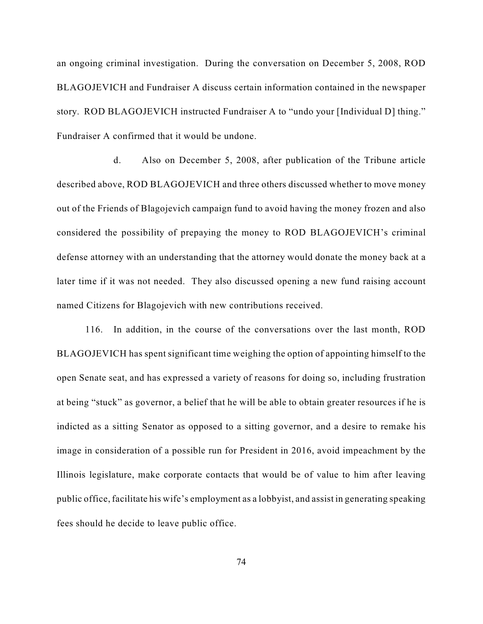an ongoing criminal investigation. During the conversation on December 5, 2008, ROD BLAGOJEVICH and Fundraiser A discuss certain information contained in the newspaper story. ROD BLAGOJEVICH instructed Fundraiser A to "undo your [Individual D] thing." Fundraiser A confirmed that it would be undone.

d. Also on December 5, 2008, after publication of the Tribune article described above, ROD BLAGOJEVICH and three others discussed whether to move money out of the Friends of Blagojevich campaign fund to avoid having the money frozen and also considered the possibility of prepaying the money to ROD BLAGOJEVICH's criminal defense attorney with an understanding that the attorney would donate the money back at a later time if it was not needed. They also discussed opening a new fund raising account named Citizens for Blagojevich with new contributions received.

116. In addition, in the course of the conversations over the last month, ROD BLAGOJEVICH has spent significant time weighing the option of appointing himself to the open Senate seat, and has expressed a variety of reasons for doing so, including frustration at being "stuck" as governor, a belief that he will be able to obtain greater resources if he is indicted as a sitting Senator as opposed to a sitting governor, and a desire to remake his image in consideration of a possible run for President in 2016, avoid impeachment by the Illinois legislature, make corporate contacts that would be of value to him after leaving public office, facilitate his wife's employment as a lobbyist, and assist in generating speaking fees should he decide to leave public office.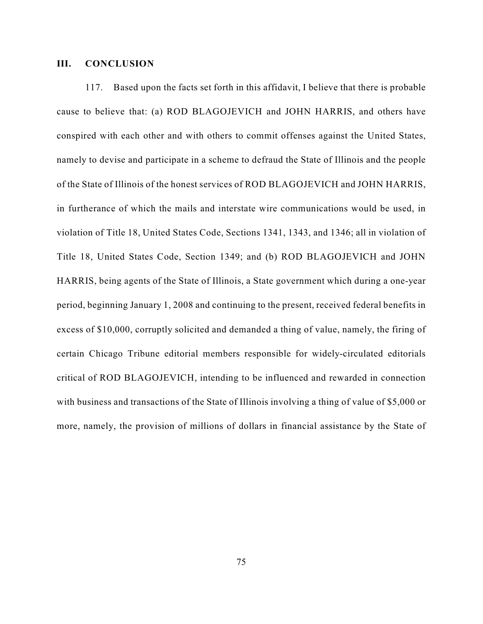## **III. CONCLUSION**

117. Based upon the facts set forth in this affidavit, I believe that there is probable cause to believe that: (a) ROD BLAGOJEVICH and JOHN HARRIS, and others have conspired with each other and with others to commit offenses against the United States, namely to devise and participate in a scheme to defraud the State of Illinois and the people of the State of Illinois of the honest services of ROD BLAGOJEVICH and JOHN HARRIS, in furtherance of which the mails and interstate wire communications would be used, in violation of Title 18, United States Code, Sections 1341, 1343, and 1346; all in violation of Title 18, United States Code, Section 1349; and (b) ROD BLAGOJEVICH and JOHN HARRIS, being agents of the State of Illinois, a State government which during a one-year period, beginning January 1, 2008 and continuing to the present, received federal benefits in excess of \$10,000, corruptly solicited and demanded a thing of value, namely, the firing of certain Chicago Tribune editorial members responsible for widely-circulated editorials critical of ROD BLAGOJEVICH, intending to be influenced and rewarded in connection with business and transactions of the State of Illinois involving a thing of value of \$5,000 or more, namely, the provision of millions of dollars in financial assistance by the State of